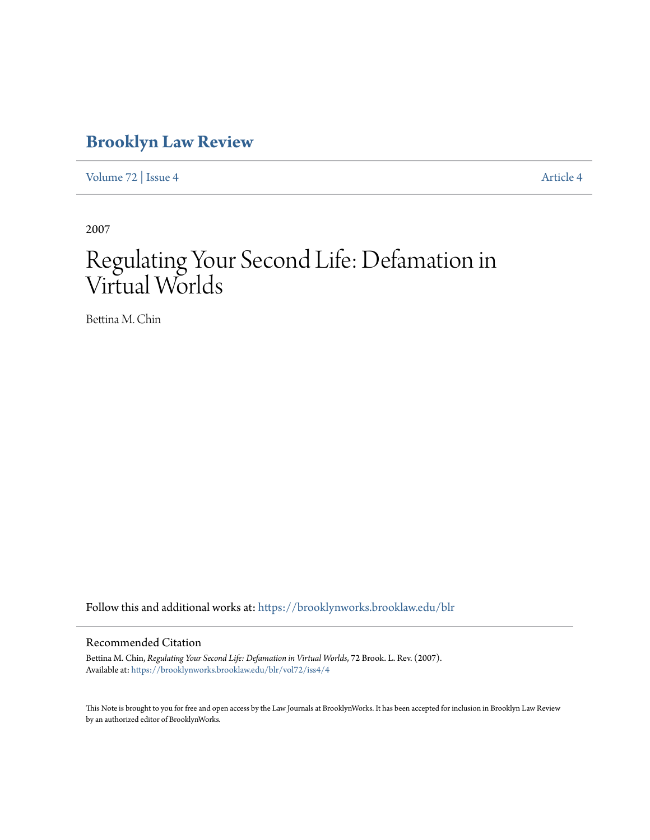# **[Brooklyn Law Review](https://brooklynworks.brooklaw.edu/blr?utm_source=brooklynworks.brooklaw.edu%2Fblr%2Fvol72%2Fiss4%2F4&utm_medium=PDF&utm_campaign=PDFCoverPages)**

[Volume 72](https://brooklynworks.brooklaw.edu/blr/vol72?utm_source=brooklynworks.brooklaw.edu%2Fblr%2Fvol72%2Fiss4%2F4&utm_medium=PDF&utm_campaign=PDFCoverPages) | [Issue 4](https://brooklynworks.brooklaw.edu/blr/vol72/iss4?utm_source=brooklynworks.brooklaw.edu%2Fblr%2Fvol72%2Fiss4%2F4&utm_medium=PDF&utm_campaign=PDFCoverPages) [Article 4](https://brooklynworks.brooklaw.edu/blr/vol72/iss4/4?utm_source=brooklynworks.brooklaw.edu%2Fblr%2Fvol72%2Fiss4%2F4&utm_medium=PDF&utm_campaign=PDFCoverPages)

2007

# Regulating Your Second Life: Defamation in Virtual Worlds

Bettina M. Chin

Follow this and additional works at: [https://brooklynworks.brooklaw.edu/blr](https://brooklynworks.brooklaw.edu/blr?utm_source=brooklynworks.brooklaw.edu%2Fblr%2Fvol72%2Fiss4%2F4&utm_medium=PDF&utm_campaign=PDFCoverPages)

#### Recommended Citation

Bettina M. Chin, *Regulating Your Second Life: Defamation in Virtual Worlds*, 72 Brook. L. Rev. (2007). Available at: [https://brooklynworks.brooklaw.edu/blr/vol72/iss4/4](https://brooklynworks.brooklaw.edu/blr/vol72/iss4/4?utm_source=brooklynworks.brooklaw.edu%2Fblr%2Fvol72%2Fiss4%2F4&utm_medium=PDF&utm_campaign=PDFCoverPages)

This Note is brought to you for free and open access by the Law Journals at BrooklynWorks. It has been accepted for inclusion in Brooklyn Law Review by an authorized editor of BrooklynWorks.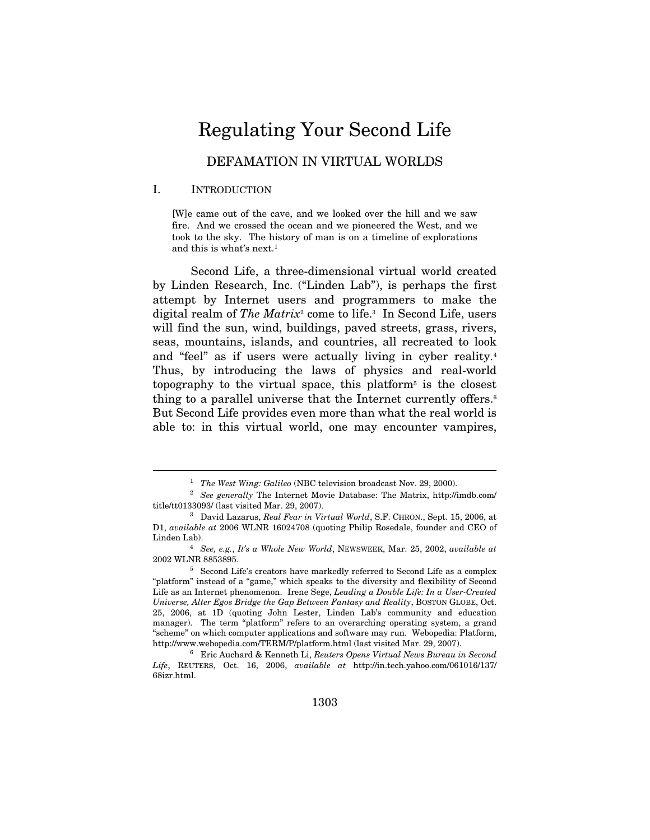# Regulating Your Second Life

# DEFAMATION IN VIRTUAL WORLDS

#### I. INTRODUCTION

 $\overline{a}$ 

[W]e came out of the cave, and we looked over the hill and we saw fire. And we crossed the ocean and we pioneered the West, and we took to the sky. The history of man is on a timeline of explorations and this is what's next.1

Second Life, a three-dimensional virtual world created by Linden Research, Inc. ("Linden Lab"), is perhaps the first attempt by Internet users and programmers to make the digital realm of The Matrix<sup>2</sup> come to life.<sup>3</sup> In Second Life, users will find the sun, wind, buildings, paved streets, grass, rivers, seas, mountains, islands, and countries, all recreated to look and "feel" as if users were actually living in cyber reality.<sup>4</sup> Thus, by introducing the laws of physics and real-world topography to the virtual space, this platform<sup> $5$ </sup> is the closest thing to a parallel universe that the Internet currently offers.<sup>6</sup> But Second Life provides even more than what the real world is able to: in this virtual world, one may encounter vampires,

<sup>&</sup>lt;sup>1</sup> The West Wing: Galileo (NBC television broadcast Nov. 29, 2000).<br><sup>2</sup> See generally The Internet Movie Database: The Matrix, http://imdb.com/ title/tt0133093/ (last visited Mar. 29, 2007).<br><sup>3</sup> David Lazarus, *Real Fear in Virtual World*, S.F. CHRON., Sept. 15, 2006, at

D1, available at 2006 WLNR 16024708 (quoting Philip Rosedale, founder and CEO of Linden Lab).<br><sup>4</sup> See, e.g., It's a Whole New World, NEWSWEEK, Mar. 25, 2002, available at

<sup>2002</sup> WLNR 8853895.<br><sup>5</sup> Second Life's creators have markedly referred to Second Life as a complex

<sup>&</sup>quot;platform" instead of a "game," which speaks to the diversity and flexibility of Second Life as an Internet phenomenon. Irene Sege, Leading a Double Life: In a User-Created Universe, Alter Egos Bridge the Gap Between Fantasy and Reality, BOSTON GLOBE, Oct. 25, 2006, at 1D (quoting John Lester, Linden Lab's community and education manager). The term "platform" refers to an overarching operating system, a grand "scheme" on which computer applications and software may run. Webopedia: Platform, http://www.webopedia.com/TERM/P/platform.html (last visited Mar. 29, 2007). 6 Eric Auchard & Kenneth Li, Reuters Opens Virtual News Bureau in Second

Life, REUTERS, Oct. 16, 2006, available at http://in.tech.yahoo.com/061016/137/ 68izr.html.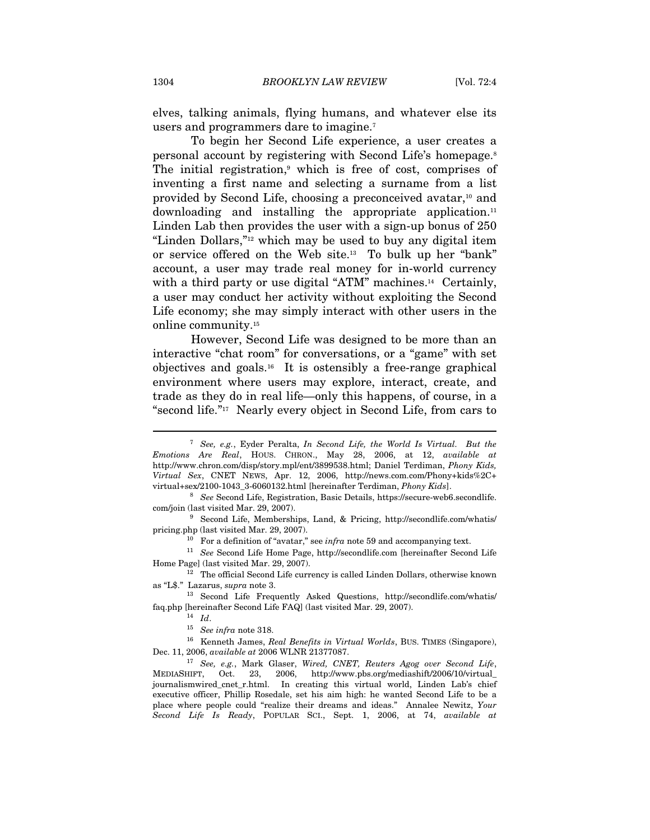elves, talking animals, flying humans, and whatever else its users and programmers dare to imagine.<sup>7</sup>

To begin her Second Life experience, a user creates a personal account by registering with Second Life's homepage.8 The initial registration, $9$  which is free of cost, comprises of inventing a first name and selecting a surname from a list provided by Second Life, choosing a preconceived avatar,<sup>10</sup> and downloading and installing the appropriate application.<sup>11</sup> Linden Lab then provides the user with a sign-up bonus of 250 "Linden Dollars,"12 which may be used to buy any digital item or service offered on the Web site.13 To bulk up her "bank" account, a user may trade real money for in-world currency with a third party or use digital "ATM" machines.<sup>14</sup> Certainly, a user may conduct her activity without exploiting the Second Life economy; she may simply interact with other users in the online community.15

However, Second Life was designed to be more than an interactive "chat room" for conversations, or a "game" with set objectives and goals.<sup>16</sup> It is ostensibly a free-range graphical environment where users may explore, interact, create, and trade as they do in real life—only this happens, of course, in a "second life."17 Nearly every object in Second Life, from cars to

<sup>&</sup>lt;sup>7</sup> See, e.g., Eyder Peralta, In Second Life, the World Is Virtual. But the Emotions Are Real, HOUS. CHRON., May 28, 2006, at 12, available at http://www.chron.com/disp/story.mpl/ent/3899538.html; Daniel Terdiman, Phony Kids, Virtual Sex, CNET NEWS, Apr. 12, 2006, http://news.com.com/Phony+kids%2C+

virtual+sex/2100-1043\_3-6060132.html [hereinafter Terdiman, *Phony Kids*].<br><sup>8</sup> See Second Life, Registration, Basic Details, https://secure-web6.secondlife.<br>com/join (last visited Mar. 29, 2007).

 $^9\,$  Second Life, Memberships, Land, & Pricing, http://secondlife.com/whatis/ pricing.php (last visited Mar. 29, 2007).

<sup>&</sup>lt;sup>10</sup> For a definition of "avatar," see *infra* note 59 and accompanying text.

 $^{11}\,$   $\,See$  Second Life Home Page, http://secondlife.com [hereinafter Second Life Home Page] (last visited Mar. 29, 2007). 12 The official Second Life currency is called Linden Dollars, otherwise known

as "L\$." Lazarus, *supra* note 3.<br><sup>13</sup> Second Life Frequently Asked Questions, http://secondlife.com/whatis/

faq.php [hereinafter Second Life FAQ] (last visited Mar. 29, 2007).<br>
<sup>14</sup> Id. <sup>15</sup> See infra note 318.<br>
<sup>16</sup> Kenneth James, *Real Benefits in Virtual Worlds*, BUS. TIMES (Singapore),

Dec. 11, 2006, available at 2006 WLNR 21377087.<br><sup>17</sup> See, e.g., Mark Glaser, Wired, CNET, Reuters Agog over Second Life,

MEDIASHIFT, Oct. 23, 2006, http://www.pbs.org/mediashift/2006/10/virtual\_ journalismwired\_cnet\_r.html. In creating this virtual world, Linden Lab's chief executive officer, Phillip Rosedale, set his aim high: he wanted Second Life to be a place where people could "realize their dreams and ideas." Annalee Newitz, Your Second Life Is Ready, POPULAR SCI., Sept. 1, 2006, at 74, available at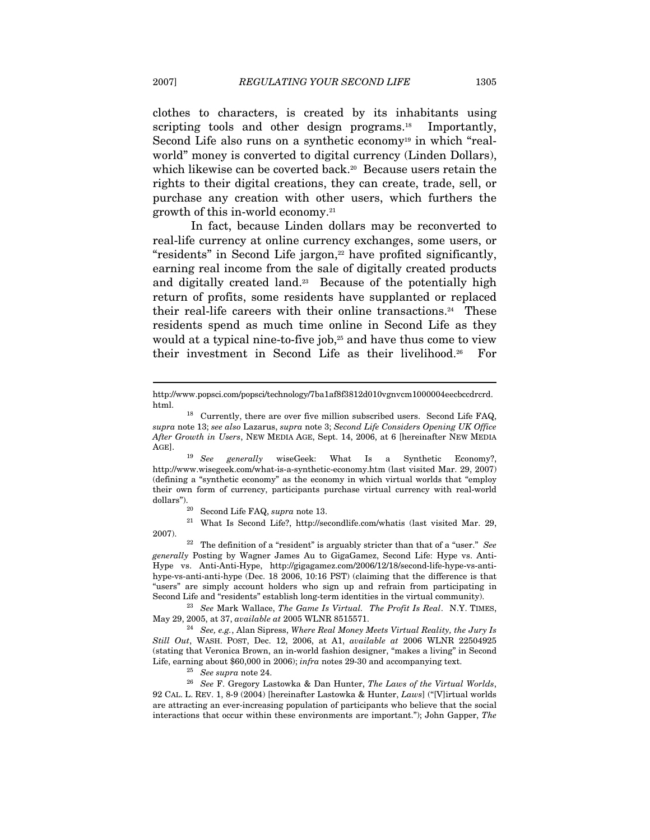clothes to characters, is created by its inhabitants using scripting tools and other design programs.<sup>18</sup> Importantly, Second Life also runs on a synthetic economy<sup>19</sup> in which "realworld" money is converted to digital currency (Linden Dollars), which likewise can be coverted back.<sup>20</sup> Because users retain the rights to their digital creations, they can create, trade, sell, or purchase any creation with other users, which furthers the growth of this in-world economy.21

In fact, because Linden dollars may be reconverted to real-life currency at online currency exchanges, some users, or "residents" in Second Life jargon,<sup>22</sup> have profited significantly, earning real income from the sale of digitally created products and digitally created land.<sup>23</sup> Because of the potentially high return of profits, some residents have supplanted or replaced their real-life careers with their online transactions.24 These residents spend as much time online in Second Life as they would at a typical nine-to-five job, $25$  and have thus come to view their investment in Second Life as their livelihood.26 For

AGE].<br><sup>19</sup> See generally wiseGeek: What Is a Synthetic Economy?, http://www.wisegeek.com/what-is-a-synthetic-economy.htm (last visited Mar. 29, 2007) (defining a "synthetic economy" as the economy in which virtual worlds that "employ their own form of currency, participants purchase virtual currency with real-world dollars").<br><sup>20</sup> Second Life FAQ, *supra* note 13.<br><sup>21</sup> What Is Second Life?, http://secondlife.com/whatis (last visited Mar. 29,

2007). 22 The definition of a "resident" is arguably stricter than that of a "user." See generally Posting by Wagner James Au to GigaGamez, Second Life: Hype vs. Anti-Hype vs. Anti-Anti-Hype, http://gigagamez.com/2006/12/18/second-life-hype-vs-antihype-vs-anti-anti-hype (Dec. 18 2006, 10:16 PST) (claiming that the difference is that "users" are simply account holders who sign up and refrain from participating in Second Life and "residents" establish long-term identities in the virtual community). 23 See Mark Wallace, The Game Is Virtual. The Profit Is Real. N.Y. TIMES,

May 29, 2005, at 37, available at 2005 WLNR 8515571.<br><sup>24</sup> See, e.g., Alan Sipress, Where Real Money Meets Virtual Reality, the Jury Is

Still Out, WASH. POST, Dec. 12, 2006, at A1, available at 2006 WLNR 22504925 (stating that Veronica Brown, an in-world fashion designer, "makes a living" in Second

Life, earning about \$60,000 in 2006); *infra* notes 29-30 and accompanying text.<br><sup>25</sup> See supra note 24.<br><sup>26</sup> See F. Gregory Lastowka & Dan Hunter, *The Laws of the Virtual Worlds*, 92 CAL. L. REV. 1, 8-9 (2004) [hereinafter Lastowka & Hunter, Laws] ("[V]irtual worlds are attracting an ever-increasing population of participants who believe that the social interactions that occur within these environments are important."); John Gapper, The

http://www.popsci.com/popsci/technology/7ba1af8f3812d010vgnvcm1000004eecbccdrcrd.

html.<br><sup>18</sup> Currently, there are over five million subscribed users. Second Life FAQ, supra note 13; see also Lazarus, supra note 3; Second Life Considers Opening UK Office After Growth in Users, NEW MEDIA AGE, Sept. 14, 2006, at 6 [hereinafter NEW MEDIA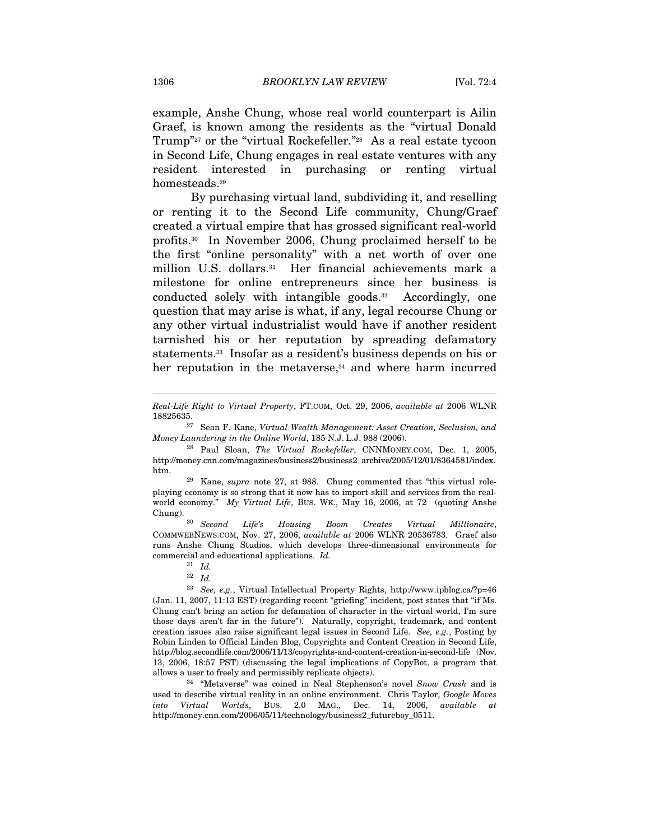example, Anshe Chung, whose real world counterpart is Ailin Graef, is known among the residents as the "virtual Donald Trump"<sup>27</sup> or the "virtual Rockefeller."<sup>28</sup> As a real estate tycoon in Second Life, Chung engages in real estate ventures with any resident interested in purchasing or renting virtual homesteads.<sup>29</sup>

By purchasing virtual land, subdividing it, and reselling or renting it to the Second Life community, Chung/Graef created a virtual empire that has grossed significant real-world profits.30 In November 2006, Chung proclaimed herself to be the first "online personality" with a net worth of over one million U.S. dollars.<sup>31</sup> Her financial achievements mark a milestone for online entrepreneurs since her business is conducted solely with intangible goods.32 Accordingly, one question that may arise is what, if any, legal recourse Chung or any other virtual industrialist would have if another resident tarnished his or her reputation by spreading defamatory statements.33 Insofar as a resident's business depends on his or her reputation in the metaverse,<sup>34</sup> and where harm incurred

COMMWEBNEWS.COM, Nov. 27, 2006, available at 2006 WLNR 20536783. Graef also runs Anshe Chung Studios, which develops three-dimensional environments for commercial and educational applications. Id.  $\frac{31}{10}$ 

used to describe virtual reality in an online environment. Chris Taylor, Google Moves Virtual Worlds, BUS. 2.0 MAG., Dec. 14, 2006, available at http://money.cnn.com/2006/05/11/technology/business2\_futureboy\_0511.

Real-Life Right to Virtual Property, FT.COM, Oct. 29, 2006, available at 2006 WLNR

 $27$  Sean F. Kane, Virtual Wealth Management: Asset Creation, Seclusion, and Money Laundering in the Online World, 185 N.J. L.J. 988 (2006).<br><sup>28</sup> Paul Sloan, *The Virtual Rockefeller*, CNNMONEY.COM, Dec. 1, 2005,

http://money.cnn.com/magazines/business2/business2\_archive/2005/12/01/8364581/index. htm.<br><sup>29</sup> Kane, *supra* note 27, at 988. Chung commented that "this virtual role-

playing economy is so strong that it now has to import skill and services from the realworld economy." My Virtual Life, BUS. WK., May 16, 2006, at 72 (quoting Anshe Chung). 30 Second Life's Housing Boom Creates Virtual Millionaire,

<sup>32</sup> Id.

 $^{33}$  See, e.g., Virtual Intellectual Property Rights, http://www.ipblog.ca/?p=46 (Jan. 11, 2007, 11:13 EST) (regarding recent "griefing" incident, post states that "if Ms. Chung can't bring an action for defamation of character in the virtual world, I'm sure those days aren't far in the future"). Naturally, copyright, trademark, and content creation issues also raise significant legal issues in Second Life. See, e.g., Posting by Robin Linden to Official Linden Blog, Copyrights and Content Creation in Second Life, http://blog.secondlife.com/2006/11/13/copyrights-and-content-creation-in-second-life (Nov. 13, 2006, 18:57 PST) (discussing the legal implications of CopyBot, a program that allows a user to freely and permissibly replicate objects). 34 "Metaverse" was coined in Neal Stephenson's novel Snow Crash and is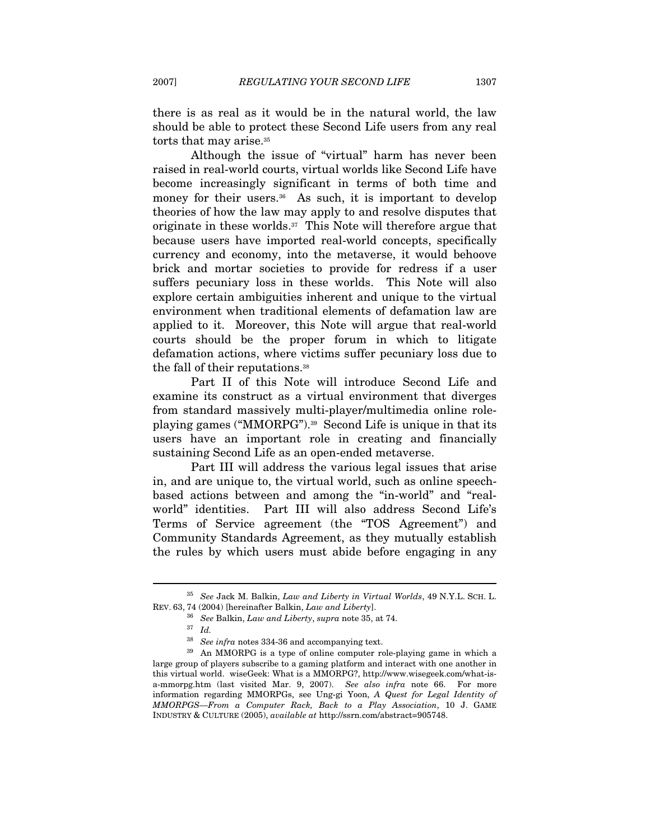there is as real as it would be in the natural world, the law should be able to protect these Second Life users from any real torts that may arise.<sup>35</sup>

Although the issue of "virtual" harm has never been raised in real-world courts, virtual worlds like Second Life have become increasingly significant in terms of both time and money for their users.<sup>36</sup> As such, it is important to develop theories of how the law may apply to and resolve disputes that originate in these worlds.37 This Note will therefore argue that because users have imported real-world concepts, specifically currency and economy, into the metaverse, it would behoove brick and mortar societies to provide for redress if a user suffers pecuniary loss in these worlds. This Note will also explore certain ambiguities inherent and unique to the virtual environment when traditional elements of defamation law are applied to it. Moreover, this Note will argue that real-world courts should be the proper forum in which to litigate defamation actions, where victims suffer pecuniary loss due to the fall of their reputations.<sup>38</sup>

Part II of this Note will introduce Second Life and examine its construct as a virtual environment that diverges from standard massively multi-player/multimedia online roleplaying games ("MMORPG").39 Second Life is unique in that its users have an important role in creating and financially sustaining Second Life as an open-ended metaverse.

Part III will address the various legal issues that arise in, and are unique to, the virtual world, such as online speechbased actions between and among the "in-world" and "realworld" identities. Part III will also address Second Life's Terms of Service agreement (the "TOS Agreement") and Community Standards Agreement, as they mutually establish the rules by which users must abide before engaging in any

 $35$  See Jack M. Balkin, Law and Liberty in Virtual Worlds, 49 N.Y.L. SCH. L.

REV. 63, 74 (2004) [hereinafter Balkin, *Law and Liberty*].<br><sup>36</sup> See Balkin, *Law and Liberty*, supra note 35, at 74.<br><sup>37</sup> Id.<br><sup>38</sup> See infra notes 334-36 and accompanying text.

 $39$  An MMORPG is a type of online computer role-playing game in which a large group of players subscribe to a gaming platform and interact with one another in this virtual world. wiseGeek: What is a MMORPG?, http://www.wisegeek.com/what-isa-mmorpg.htm (last visited Mar. 9, 2007). See also infra note 66. For more information regarding MMORPGs, see Ung-gi Yoon, A Quest for Legal Identity of MMORPGS—From a Computer Rack, Back to a Play Association, 10 J. GAME INDUSTRY & CULTURE (2005), available at http://ssrn.com/abstract=905748.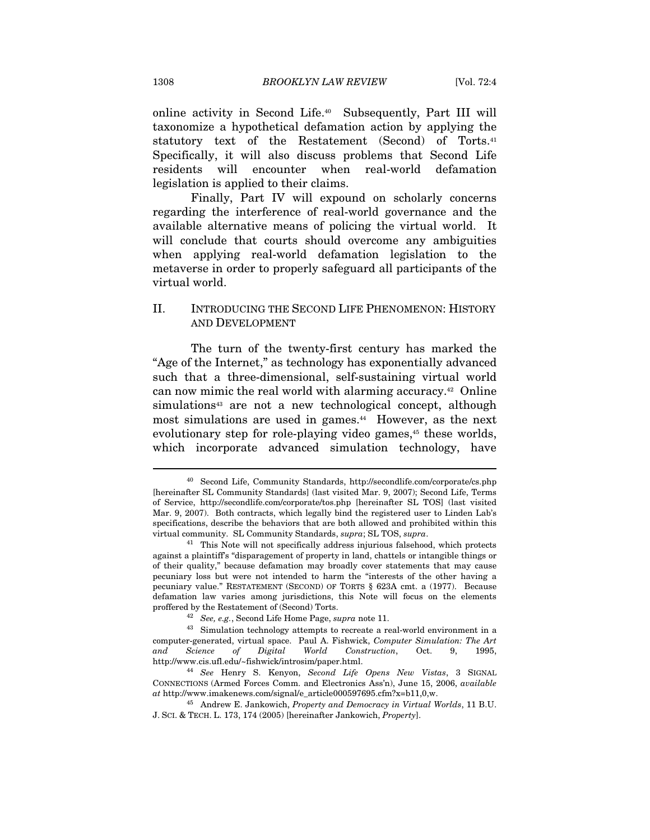online activity in Second Life.40 Subsequently, Part III will taxonomize a hypothetical defamation action by applying the statutory text of the Restatement (Second) of Torts.41 Specifically, it will also discuss problems that Second Life residents will encounter when real-world defamation legislation is applied to their claims.

Finally, Part IV will expound on scholarly concerns regarding the interference of real-world governance and the available alternative means of policing the virtual world. It will conclude that courts should overcome any ambiguities when applying real-world defamation legislation to the metaverse in order to properly safeguard all participants of the virtual world.

## II. INTRODUCING THE SECOND LIFE PHENOMENON: HISTORY AND DEVELOPMENT

The turn of the twenty-first century has marked the "Age of the Internet," as technology has exponentially advanced such that a three-dimensional, self-sustaining virtual world can now mimic the real world with alarming accuracy.42 Online simulations<sup>43</sup> are not a new technological concept, although most simulations are used in games.<sup>44</sup> However, as the next evolutionary step for role-playing video games,<sup>45</sup> these worlds, which incorporate advanced simulation technology, have

<sup>40</sup> Second Life, Community Standards, http://secondlife.com/corporate/cs.php [hereinafter SL Community Standards] (last visited Mar. 9, 2007); Second Life, Terms of Service, http://secondlife.com/corporate/tos.php [hereinafter SL TOS] (last visited Mar. 9, 2007). Both contracts, which legally bind the registered user to Linden Lab's specifications, describe the behaviors that are both allowed and prohibited within this virtual community. SL Community Standards, supra; SL TOS, supra. 41 This Note will not specifically address injurious falsehood, which protects

against a plaintiff's "disparagement of property in land, chattels or intangible things or of their quality," because defamation may broadly cover statements that may cause pecuniary loss but were not intended to harm the "interests of the other having a pecuniary value." RESTATEMENT (SECOND) OF TORTS § 623A cmt. a (1977). Because defamation law varies among jurisdictions, this Note will focus on the elements proffered by the Restatement of (Second) Torts.<br><sup>42</sup> See, e.g., Second Life Home Page, *supra* note 11.<br><sup>43</sup> Simulation technology attempts to recreate a real-world environment in a

computer-generated, virtual space. Paul A. Fishwick, Computer Simulation: The Art and Science of Digital World Construction, Oct. 9, 1995, http://www.cis.ufl.edu/~fishwick/introsim/paper.html. 44 See Henry S. Kenyon, Second Life Opens New Vistas, 3 SIGNAL

CONNECTIONS (Armed Forces Comm. and Electronics Ass'n), June 15, 2006, available at http://www.imakenews.com/signal/e\_article000597695.cfm?x=b11,0,w.

 $^{45}$  Andrew E. Jankowich, Property and Democracy in Virtual Worlds, 11 B.U. J. SCI. & TECH. L. 173, 174 (2005) [hereinafter Jankowich, Property].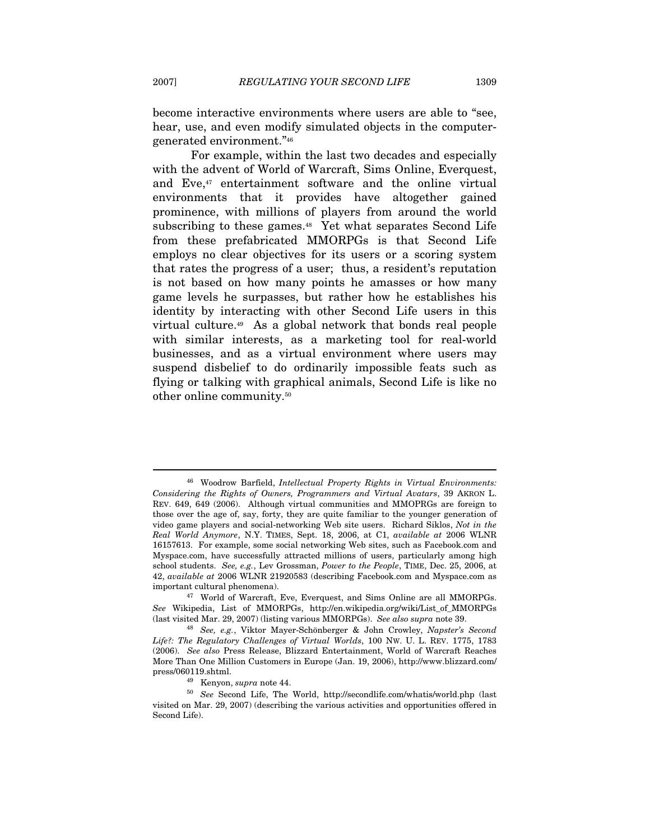become interactive environments where users are able to "see, hear, use, and even modify simulated objects in the computergenerated environment."46

For example, within the last two decades and especially with the advent of World of Warcraft, Sims Online, Everquest, and Eve,<sup>47</sup> entertainment software and the online virtual environments that it provides have altogether gained prominence, with millions of players from around the world subscribing to these games.<sup>48</sup> Yet what separates Second Life from these prefabricated MMORPGs is that Second Life employs no clear objectives for its users or a scoring system that rates the progress of a user; thus, a resident's reputation is not based on how many points he amasses or how many game levels he surpasses, but rather how he establishes his identity by interacting with other Second Life users in this virtual culture.49 As a global network that bonds real people with similar interests, as a marketing tool for real-world businesses, and as a virtual environment where users may suspend disbelief to do ordinarily impossible feats such as flying or talking with graphical animals, Second Life is like no other online community.50

<sup>&</sup>lt;sup>46</sup> Woodrow Barfield, Intellectual Property Rights in Virtual Environments: Considering the Rights of Owners, Programmers and Virtual Avatars, 39 AKRON L. REV. 649, 649 (2006). Although virtual communities and MMOPRGs are foreign to those over the age of, say, forty, they are quite familiar to the younger generation of video game players and social-networking Web site users. Richard Siklos, Not in the Real World Anymore, N.Y. TIMES, Sept. 18, 2006, at C1, available at 2006 WLNR 16157613. For example, some social networking Web sites, such as Facebook.com and Myspace.com, have successfully attracted millions of users, particularly among high school students. See, e.g., Lev Grossman, Power to the People, TIME, Dec. 25, 2006, at 42, available at 2006 WLNR 21920583 (describing Facebook.com and Myspace.com as

important cultural phenomena). 47 World of Warcraft, Eve, Everquest, and Sims Online are all MMORPGs. See Wikipedia, List of MMORPGs, http://en.wikipedia.org/wiki/List\_of\_MMORPGs (last visited Mar. 29, 2007) (listing various MMORPGs). See also supra note 39. 48 See, e.g., Viktor Mayer-Schönberger & John Crowley, Napster's Second

Life?: The Regulatory Challenges of Virtual Worlds, 100 NW. U. L. REV. 1775, 1783 (2006). See also Press Release, Blizzard Entertainment, World of Warcraft Reaches More Than One Million Customers in Europe (Jan. 19, 2006), http://www.blizzard.com/

press/060119.shtml.  $^{49}$  Kenyon,  $supra$  note 44.  $^{50}$   $\,$  See Second Life, The World, http://secondlife.com/whatis/world.php (last visited on Mar. 29, 2007) (describing the various activities and opportunities offered in Second Life).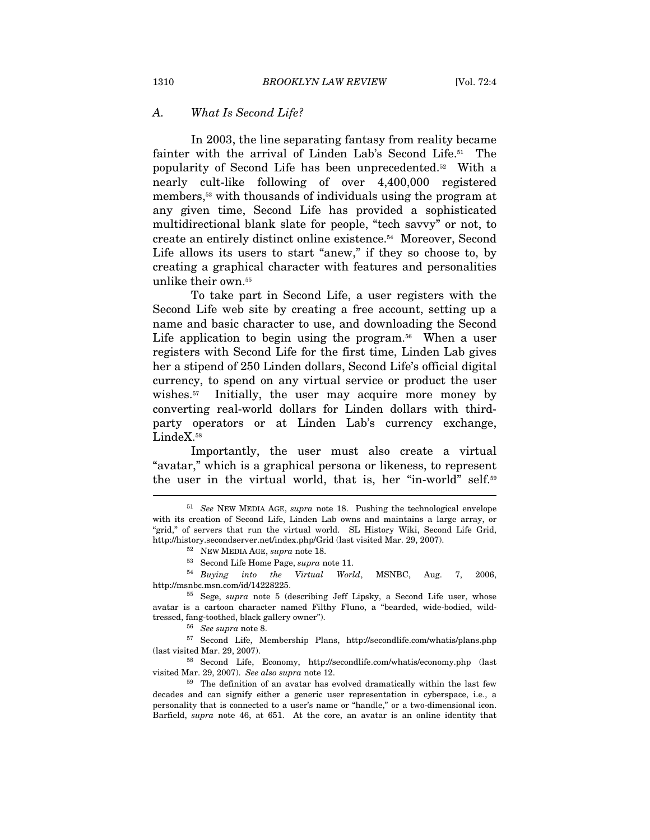#### A. What Is Second Life?

In 2003, the line separating fantasy from reality became fainter with the arrival of Linden Lab's Second Life.51 The popularity of Second Life has been unprecedented.52 With a nearly cult-like following of over 4,400,000 registered members,53 with thousands of individuals using the program at any given time, Second Life has provided a sophisticated multidirectional blank slate for people, "tech savvy" or not, to create an entirely distinct online existence.54 Moreover, Second Life allows its users to start "anew," if they so choose to, by creating a graphical character with features and personalities unlike their own.55

To take part in Second Life, a user registers with the Second Life web site by creating a free account, setting up a name and basic character to use, and downloading the Second Life application to begin using the program.<sup>56</sup> When a user registers with Second Life for the first time, Linden Lab gives her a stipend of 250 Linden dollars, Second Life's official digital currency, to spend on any virtual service or product the user wishes.<sup>57</sup> Initially, the user may acquire more money by converting real-world dollars for Linden dollars with thirdparty operators or at Linden Lab's currency exchange, LindeX.<sup>58</sup>

Importantly, the user must also create a virtual "avatar," which is a graphical persona or likeness, to represent the user in the virtual world, that is, her "in-world" self.59

 $53$  Second Life Home Page, supra note 11.<br> $54$  Buying into the Virtual World, MSNBC, Aug. 7, 2006, http://msnbc.msn.com/id/14228225.<br>
<sup>55</sup> Sege, *supra* note 5 (describing Jeff Lipsky, a Second Life user, whose

% (last visited Mar. 29, 2007). 58 Second Life, Economy, http://secondlife.com/whatis/economy.php (last visited Mar. 29, 2007). See also supra note 12.

 $59$ . The definition of an avatar has evolved dramatically within the last few decades and can signify either a generic user representation in cyberspace, i.e., a personality that is connected to a user's name or "handle," or a two-dimensional icon. Barfield, supra note 46, at 651. At the core, an avatar is an online identity that

<sup>51</sup> See NEW MEDIA AGE, supra note 18. Pushing the technological envelope with its creation of Second Life, Linden Lab owns and maintains a large array, or "grid," of servers that run the virtual world. SL History Wiki, Second Life Grid, http://history.secondserver.net/index.php/Grid (last visited Mar. 29, 2007). 52 NEW MEDIA AGE, supra note 18.

avatar is a cartoon character named Filthy Fluno, a "bearded, wide-bodied, wildtressed, fang-toothed, black gallery owner").  $$^{56}$\, \, See\, \, supera\, note\, 8. $^{57}$\, \, Second\, \, Life,\, \, Membership\, \, Plans,\, \, http://secondlife.com/whatis/plans.php$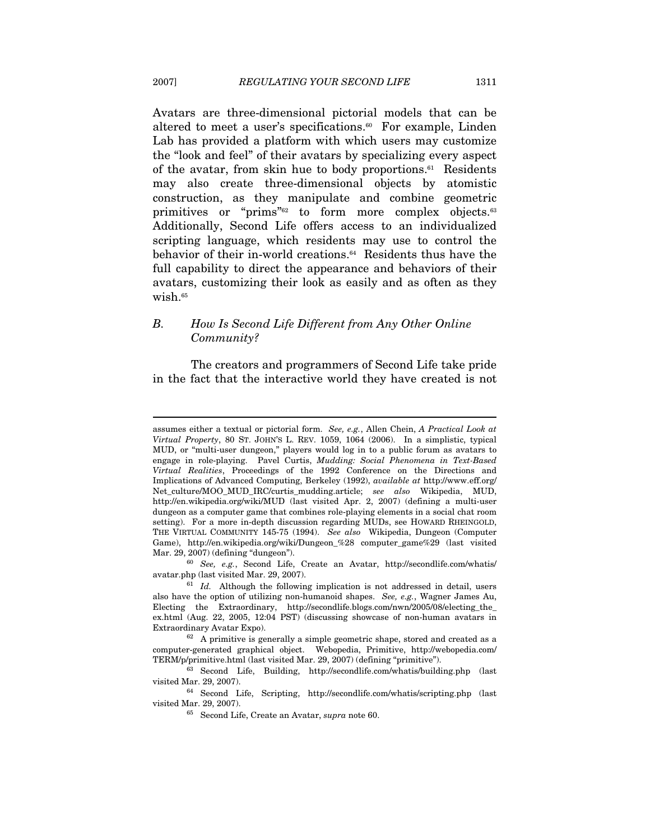Avatars are three-dimensional pictorial models that can be altered to meet a user's specifications.<sup>60</sup> For example, Linden Lab has provided a platform with which users may customize the "look and feel" of their avatars by specializing every aspect of the avatar, from skin hue to body proportions.<sup>61</sup> Residents may also create three-dimensional objects by atomistic construction, as they manipulate and combine geometric primitives or "prims"<sup>62</sup> to form more complex objects.<sup>63</sup> Additionally, Second Life offers access to an individualized scripting language, which residents may use to control the behavior of their in-world creations.64 Residents thus have the full capability to direct the appearance and behaviors of their avatars, customizing their look as easily and as often as they wish.<sup>65</sup>

# B. How Is Second Life Different from Any Other Online Community?

The creators and programmers of Second Life take pride in the fact that the interactive world they have created is not

assumes either a textual or pictorial form. See, e.g., Allen Chein, A Practical Look at Virtual Property, 80 ST. JOHN'S L. REV. 1059, 1064 (2006). In a simplistic, typical MUD, or "multi-user dungeon," players would log in to a public forum as avatars to engage in role-playing. Pavel Curtis, Mudding: Social Phenomena in Text-Based Virtual Realities, Proceedings of the 1992 Conference on the Directions and Implications of Advanced Computing, Berkeley (1992), available at http://www.eff.org/ Net\_culture/MOO\_MUD\_IRC/curtis\_mudding.article; see also Wikipedia, MUD, http://en.wikipedia.org/wiki/MUD (last visited Apr. 2, 2007) (defining a multi-user dungeon as a computer game that combines role-playing elements in a social chat room setting). For a more in-depth discussion regarding MUDs, see HOWARD RHEINGOLD, THE VIRTUAL COMMUNITY 145-75 (1994). See also Wikipedia, Dungeon (Computer Game), http://en.wikipedia.org/wiki/Dungeon\_%28 computer\_game%29 (last visited Mar. 29, 2007) (defining "dungeon").<br><sup>60</sup> See, e.g., Second Life, Create an Avatar, http://secondlife.com/whatis/

avatar.php (last visited Mar. 29, 2007).<br><sup>61</sup> Id. Although the following implication is not addressed in detail, users

also have the option of utilizing non-humanoid shapes. See, e.g., Wagner James Au, Electing the Extraordinary, http://secondlife.blogs.com/nwn/2005/08/electing\_the\_ ex.html (Aug. 22, 2005, 12:04 PST) (discussing showcase of non-human avatars in Extraordinary Avatar Expo).<br><sup>62</sup> A primitive is generally a simple geometric shape, stored and created as a

computer-generated graphical object. Webopedia, Primitive, http://webopedia.com/

TERM/p/primitive.html (last visited Mar. 29, 2007) (defining "primitive").<br><sup>63</sup> Second Life, Building, http://secondlife.com/whatis/building.php (last visited Mar. 29, 2007).

 $^{64}$  Second Life, Scripting, http://secondlife.com/whatis/scripting.php (last visited Mar. 29, 2007).

 $65$  Second Life, Create an Avatar, supra note 60.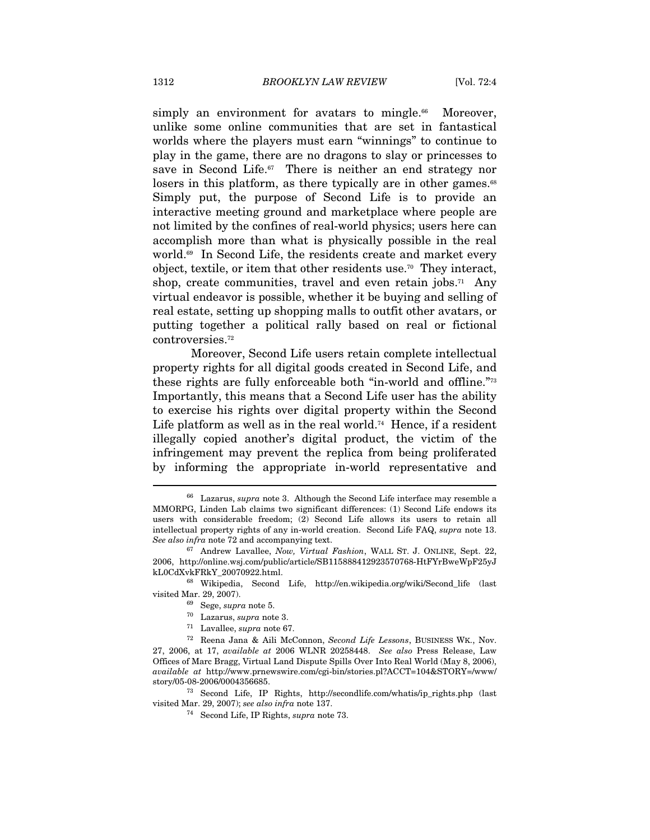simply an environment for avatars to mingle.<sup>66</sup> Moreover, unlike some online communities that are set in fantastical worlds where the players must earn "winnings" to continue to play in the game, there are no dragons to slay or princesses to save in Second Life.<sup>67</sup> There is neither an end strategy nor losers in this platform, as there typically are in other games.<sup>68</sup> Simply put, the purpose of Second Life is to provide an interactive meeting ground and marketplace where people are not limited by the confines of real-world physics; users here can accomplish more than what is physically possible in the real world.<sup>69</sup> In Second Life, the residents create and market every object, textile, or item that other residents use.70 They interact, shop, create communities, travel and even retain jobs.<sup>71</sup> Any virtual endeavor is possible, whether it be buying and selling of real estate, setting up shopping malls to outfit other avatars, or putting together a political rally based on real or fictional controversies.72

Moreover, Second Life users retain complete intellectual property rights for all digital goods created in Second Life, and these rights are fully enforceable both "in-world and offline."73 Importantly, this means that a Second Life user has the ability to exercise his rights over digital property within the Second Life platform as well as in the real world.<sup>74</sup> Hence, if a resident illegally copied another's digital product, the victim of the infringement may prevent the replica from being proliferated by informing the appropriate in-world representative and

story/05-08-2006/0004356685.<br><sup>73</sup> Second Life, IP Rights, http://secondlife.com/whatis/ip\_rights.php (last visited Mar. 29, 2007); *see also infra* note 137.

 $66$  Lazarus, supra note 3. Although the Second Life interface may resemble a MMORPG, Linden Lab claims two significant differences: (1) Second Life endows its users with considerable freedom; (2) Second Life allows its users to retain all intellectual property rights of any in-world creation. Second Life FAQ, supra note 13. See also infra note 72 and accompanying text.<br><sup>67</sup> Andrew Lavallee, *Now, Virtual Fashion*, WALL ST. J. ONLINE, Sept. 22,

<sup>2006,</sup> http://online.wsj.com/public/article/SB115888412923570768-HtFYrBweWpF25yJ

<sup>&</sup>lt;sup>68</sup> Wikipedia, Second Life, http://en.wikipedia.org/wiki/Second\_life (last visited Mar. 29, 2007).  $$\overset{69}{\sim}$ \text{Sege, }supra$ note 5.\n $^{70}$ \text{Lazarus, }supra$ note 3.\n $^{71}$ \text{Lavallee, }supra$ note 67.\n $^{72}$ \text{Reena Jana & Aili McConnon, } \text{Second Life} \text{Lessons, BUSINES WK., Nov.}$ 

<sup>27, 2006,</sup> at 17, available at 2006 WLNR 20258448. See also Press Release, Law Offices of Marc Bragg, Virtual Land Dispute Spills Over Into Real World (May 8, 2006), available at http://www.prnewswire.com/cgi-bin/stories.pl?ACCT=104&STORY=/www/

<sup>&</sup>lt;sup>74</sup> Second Life, IP Rights, supra note 73.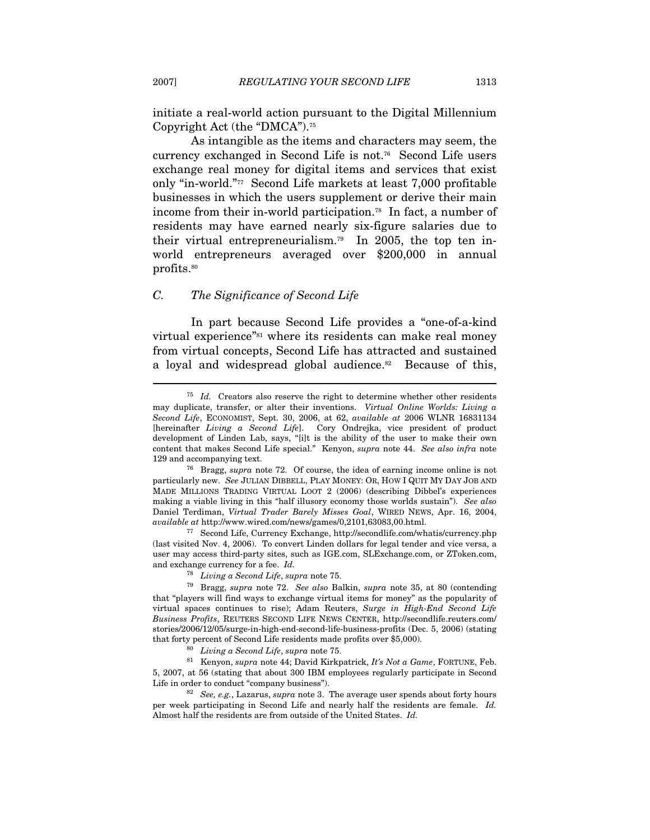initiate a real-world action pursuant to the Digital Millennium Copyright Act (the "DMCA").75

As intangible as the items and characters may seem, the currency exchanged in Second Life is not.76 Second Life users exchange real money for digital items and services that exist only "in-world."77 Second Life markets at least 7,000 profitable businesses in which the users supplement or derive their main income from their in-world participation.78 In fact, a number of residents may have earned nearly six-figure salaries due to their virtual entrepreneurialism.79 In 2005, the top ten inworld entrepreneurs averaged over \$200,000 in annual profits.<sup>80</sup>

#### C. The Significance of Second Life

In part because Second Life provides a "one-of-a-kind virtual experience"<sup>81</sup> where its residents can make real money from virtual concepts, Second Life has attracted and sustained a loyal and widespread global audience.<sup>82</sup> Because of this,

 $75$  Id. Creators also reserve the right to determine whether other residents may duplicate, transfer, or alter their inventions. Virtual Online Worlds: Living a Second Life, ECONOMIST, Sept. 30, 2006, at 62, available at 2006 WLNR 16831134 [hereinafter Living a Second Life]. Cory Ondrejka, vice president of product development of Linden Lab, says, "[i]t is the ability of the user to make their own content that makes Second Life special." Kenyon, supra note 44. See also infra note 129 and accompanying text.<br><sup>76</sup> Bragg, *supra* note 72. Of course, the idea of earning income online is not

particularly new. See JULIAN DIBBELL, PLAY MONEY: OR, HOW I QUIT MY DAY JOB AND MADE MILLIONS TRADING VIRTUAL LOOT 2 (2006) (describing Dibbel's experiences making a viable living in this "half illusory economy those worlds sustain"). See also Daniel Terdiman, Virtual Trader Barely Misses Goal, WIRED NEWS, Apr. 16, 2004, available at http://www.wired.com/news/games/0,2101,63083,00.html.

 $77$  Second Life, Currency Exchange, http://secondlife.com/whatis/currency.php (last visited Nov. 4, 2006). To convert Linden dollars for legal tender and vice versa, a user may access third-party sites, such as IGE.com, SLExchange.com, or ZToken.com, and exchange currency for a fee. Id.

<sup>&</sup>lt;sup>78</sup> Living a Second Life, supra note 75.<br><sup>79</sup> Bragg, supra note 72. See also Balkin, supra note 35, at 80 (contending that "players will find ways to exchange virtual items for money" as the popularity of virtual spaces continues to rise); Adam Reuters, Surge in High-End Second Life Business Profits, REUTERS SECOND LIFE NEWS CENTER, http://secondlife.reuters.com/ stories/2006/12/05/surge-in-high-end-second-life-business-profits (Dec. 5, 2006) (stating that forty percent of Second Life residents made profits over \$5,000).<br><sup>80</sup> Living a Second Life, supra note 75.<br><sup>81</sup> Kenyon, supra note 44; David Kirkpatrick, It's Not a Game, FORTUNE, Feb.

<sup>5, 2007,</sup> at 56 (stating that about 300 IBM employees regularly participate in Second Life in order to conduct "company business").<br><sup>82</sup> See, e.g., Lazarus, *supra* note 3. The average user spends about forty hours

per week participating in Second Life and nearly half the residents are female. Id. Almost half the residents are from outside of the United States. Id.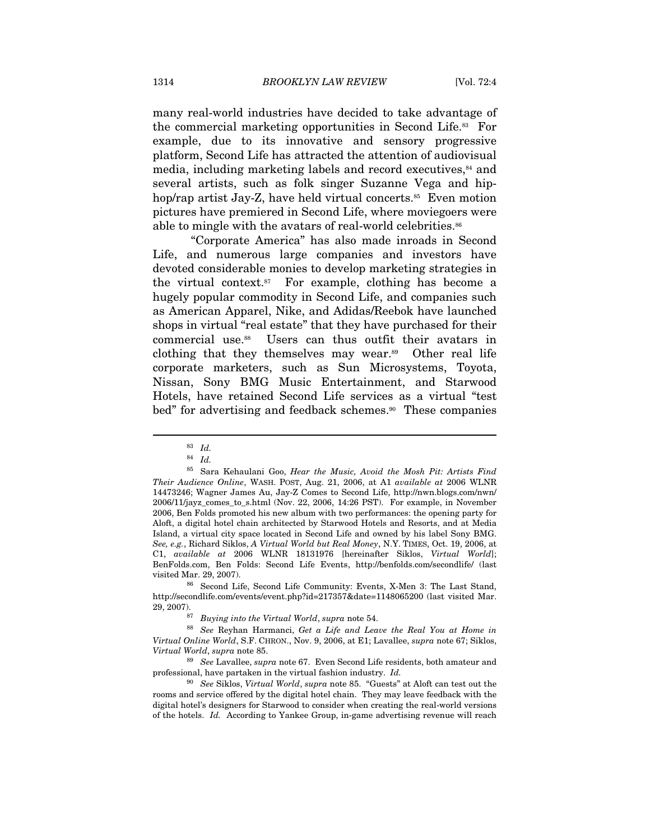many real-world industries have decided to take advantage of the commercial marketing opportunities in Second Life.83 For example, due to its innovative and sensory progressive platform, Second Life has attracted the attention of audiovisual media, including marketing labels and record executives,<sup>84</sup> and several artists, such as folk singer Suzanne Vega and hiphop/rap artist Jay-Z, have held virtual concerts.<sup>85</sup> Even motion pictures have premiered in Second Life, where moviegoers were able to mingle with the avatars of real-world celebrities.<sup>86</sup>

"Corporate America" has also made inroads in Second Life, and numerous large companies and investors have devoted considerable monies to develop marketing strategies in the virtual context.87 For example, clothing has become a hugely popular commodity in Second Life, and companies such as American Apparel, Nike, and Adidas/Reebok have launched shops in virtual "real estate" that they have purchased for their commercial use.88 Users can thus outfit their avatars in clothing that they themselves may wear.89 Other real life corporate marketers, such as Sun Microsystems, Toyota, Nissan, Sony BMG Music Entertainment, and Starwood Hotels, have retained Second Life services as a virtual "test bed" for advertising and feedback schemes.<sup>90</sup> These companies

 $\overline{a}$ 

http://secondlife.com/events/event.php?id=217357&date=1148065200 (last visited Mar. 29, 2007). <sup>87</sup> Buying into the Virtual World, supra note 54.<br><sup>88</sup> See Reyhan Harmanci, Get a Life and Leave the Real You at Home in

Virtual Online World, S.F. CHRON., Nov. 9, 2006, at E1; Lavallee, supra note 67; Siklos,

Virtual World, supra note 85.<br><sup>89</sup> See Lavallee, supra note 67. Even Second Life residents, both amateur and professional, have partaken in the virtual fashion industry. Id.<br><sup>90</sup> See Siklos, Virtual World, supra note 85. "Guests" at Aloft can test out the

rooms and service offered by the digital hotel chain. They may leave feedback with the digital hotel's designers for Starwood to consider when creating the real-world versions of the hotels. Id. According to Yankee Group, in-game advertising revenue will reach

<sup>83</sup> Id.

<sup>84</sup> Id.

<sup>85</sup> Sara Kehaulani Goo, Hear the Music, Avoid the Mosh Pit: Artists Find Their Audience Online, WASH. POST, Aug. 21, 2006, at A1 available at 2006 WLNR 14473246; Wagner James Au, Jay-Z Comes to Second Life, http://nwn.blogs.com/nwn/ 2006/11/jayz\_comes\_to\_s.html (Nov. 22, 2006, 14:26 PST). For example, in November 2006, Ben Folds promoted his new album with two performances: the opening party for Aloft, a digital hotel chain architected by Starwood Hotels and Resorts, and at Media Island, a virtual city space located in Second Life and owned by his label Sony BMG. See, e.g., Richard Siklos, A Virtual World but Real Money, N.Y. TIMES, Oct. 19, 2006, at C1, available at 2006 WLNR 18131976 [hereinafter Siklos, Virtual World]; BenFolds.com, Ben Folds: Second Life Events, http://benfolds.com/secondlife/ (last visited Mar. 29, 2007). 86 Second Life, Second Life Community: Events, X-Men 3: The Last Stand,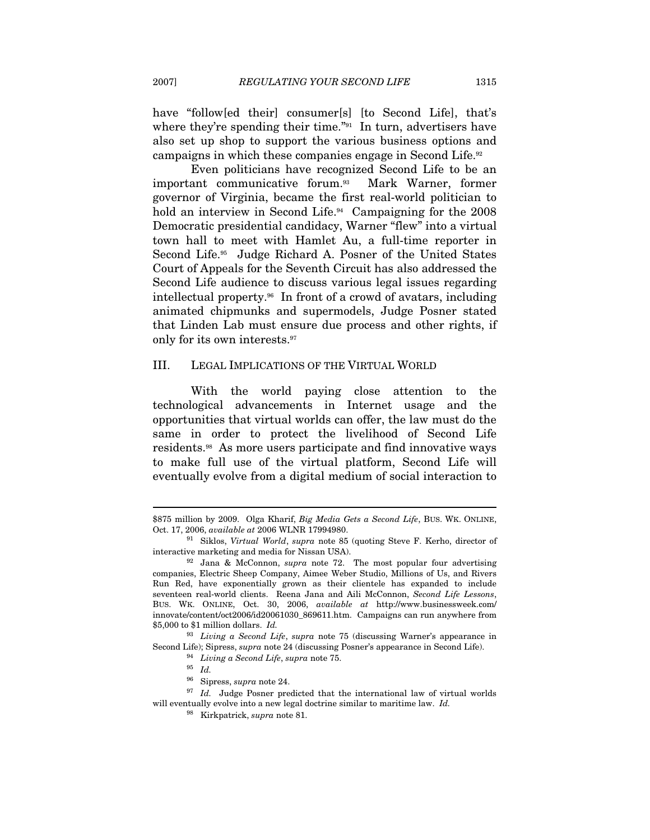have "follow[ed their] consumer[s] [to Second Life], that's where they're spending their time."<sup>91</sup> In turn, advertisers have also set up shop to support the various business options and

campaigns in which these companies engage in Second Life.92 Even politicians have recognized Second Life to be an important communicative forum.93 Mark Warner, former governor of Virginia, became the first real-world politician to hold an interview in Second Life.<sup>94</sup> Campaigning for the 2008 Democratic presidential candidacy, Warner "flew" into a virtual town hall to meet with Hamlet Au, a full-time reporter in Second Life.<sup>95</sup> Judge Richard A. Posner of the United States Court of Appeals for the Seventh Circuit has also addressed the Second Life audience to discuss various legal issues regarding intellectual property.96 In front of a crowd of avatars, including animated chipmunks and supermodels, Judge Posner stated that Linden Lab must ensure due process and other rights, if only for its own interests.97

#### III. LEGAL IMPLICATIONS OF THE VIRTUAL WORLD

With the world paying close attention to the technological advancements in Internet usage and the opportunities that virtual worlds can offer, the law must do the same in order to protect the livelihood of Second Life residents.98 As more users participate and find innovative ways to make full use of the virtual platform, Second Life will eventually evolve from a digital medium of social interaction to

<sup>\$875</sup> million by 2009. Olga Kharif, Big Media Gets a Second Life, BUS. WK. ONLINE, Oct. 17, 2006, available at 2006 WLNR 17994980.

 $91$  Siklos, Virtual World, supra note 85 (quoting Steve F. Kerho, director of interactive marketing and media for Nissan USA). 92 Jana & McConnon, supra note 72. The most popular four advertising

companies, Electric Sheep Company, Aimee Weber Studio, Millions of Us, and Rivers Run Red, have exponentially grown as their clientele has expanded to include seventeen real-world clients. Reena Jana and Aili McConnon, Second Life Lessons, BUS. WK. ONLINE, Oct. 30, 2006, available at http://www.businessweek.com/ innovate/content/oct2006/id20061030\_869611.htm. Campaigns can run anywhere from \$5,000 to \$1 million dollars. Id.

<sup>&</sup>lt;sup>93</sup> Living a Second Life, supra note 75 (discussing Warner's appearance in Second Life); Sipress, supra note 24 (discussing Posner's appearance in Second Life).  $\frac{94}{10}$  Living a Second Life, supra note 75. <br><sup>95</sup> Id. Sipress, supra note 24.

 $97$  Id. Judge Posner predicted that the international law of virtual worlds will eventually evolve into a new legal doctrine similar to maritime law. Id.

<sup>98</sup> Kirkpatrick, supra note 81.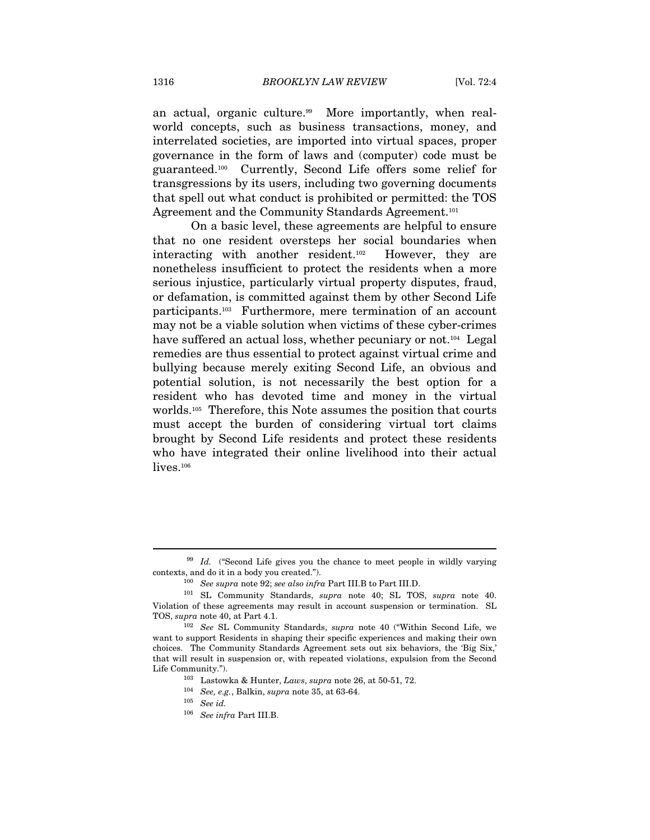an actual, organic culture.<sup>99</sup> More importantly, when realworld concepts, such as business transactions, money, and interrelated societies, are imported into virtual spaces, proper governance in the form of laws and (computer) code must be guaranteed.100 Currently, Second Life offers some relief for transgressions by its users, including two governing documents that spell out what conduct is prohibited or permitted: the TOS Agreement and the Community Standards Agreement.<sup>101</sup>

On a basic level, these agreements are helpful to ensure that no one resident oversteps her social boundaries when interacting with another resident.102 However, they are nonetheless insufficient to protect the residents when a more serious injustice, particularly virtual property disputes, fraud, or defamation, is committed against them by other Second Life participants.103 Furthermore, mere termination of an account may not be a viable solution when victims of these cyber-crimes have suffered an actual loss, whether pecuniary or not.<sup>104</sup> Legal remedies are thus essential to protect against virtual crime and bullying because merely exiting Second Life, an obvious and potential solution, is not necessarily the best option for a resident who has devoted time and money in the virtual worlds.105 Therefore, this Note assumes the position that courts must accept the burden of considering virtual tort claims brought by Second Life residents and protect these residents who have integrated their online livelihood into their actual lives.<sup>106</sup>

 $99$  Id. ("Second Life gives you the chance to meet people in wildly varying contexts, and do it in a body you created.").

<sup>&</sup>lt;sup>100</sup> See supra note 92; see also infra Part III.B to Part III.D.  $^{101}$  SL Community Standards, *supra* note 40; SL TOS, *supra* note 40. Violation of these agreements may result in account suspension or termination. SL TOS, *supra* note 40, at Part 4.1.<br><sup>102</sup> See SL Community Standards, *supra* note 40 ("Within Second Life, we

want to support Residents in shaping their specific experiences and making their own choices. The Community Standards Agreement sets out six behaviors, the 'Big Six,' that will result in suspension or, with repeated violations, expulsion from the Second Life Community.").<br><sup>103</sup> Lastowka & Hunter, *Laws*, *supra* note 26, at 50-51, 72.

 $^{104}$   $\,$   $See,$   $e.g.,$  Balkin,  $supra$  note 35, at 63-64.  $^{105}$   $\,$   $\, See$   $iafra$  Part III.B.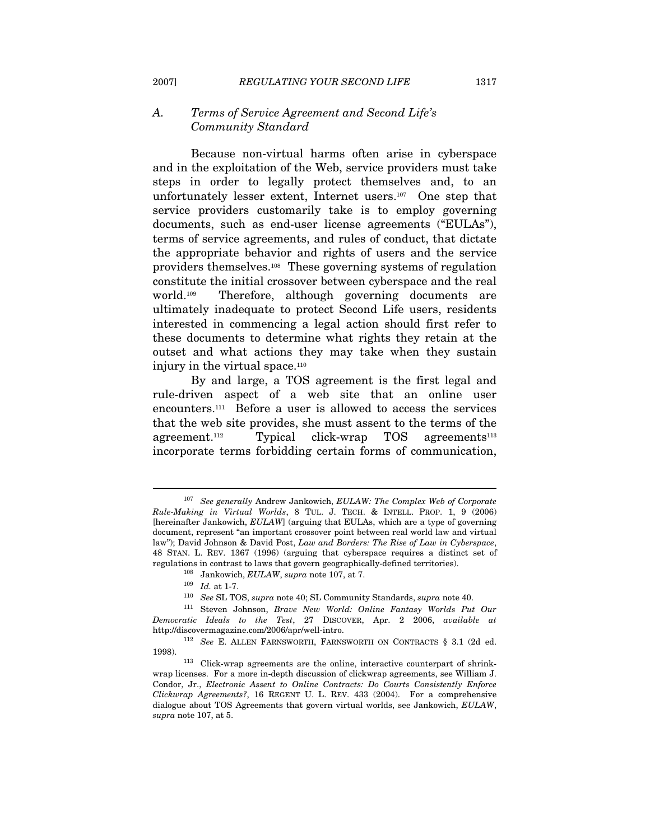#### A. Terms of Service Agreement and Second Life's Community Standard

Because non-virtual harms often arise in cyberspace and in the exploitation of the Web, service providers must take steps in order to legally protect themselves and, to an unfortunately lesser extent, Internet users.107 One step that service providers customarily take is to employ governing documents, such as end-user license agreements ("EULAs"), terms of service agreements, and rules of conduct, that dictate the appropriate behavior and rights of users and the service providers themselves.108 These governing systems of regulation constitute the initial crossover between cyberspace and the real world.109 Therefore, although governing documents are ultimately inadequate to protect Second Life users, residents interested in commencing a legal action should first refer to these documents to determine what rights they retain at the outset and what actions they may take when they sustain injury in the virtual space.<sup>110</sup>

By and large, a TOS agreement is the first legal and rule-driven aspect of a web site that an online user encounters.111 Before a user is allowed to access the services that the web site provides, she must assent to the terms of the agreement.<sup>112</sup> Typical click-wrap TOS agreements<sup>113</sup> incorporate terms forbidding certain forms of communication,

<sup>&</sup>lt;sup>107</sup> See generally Andrew Jankowich, EULAW: The Complex Web of Corporate Rule-Making in Virtual Worlds, 8 TUL. J. TECH. & INTELL. PROP. 1, 9 (2006) [hereinafter Jankowich, EULAW] (arguing that EULAs, which are a type of governing document, represent "an important crossover point between real world law and virtual law"); David Johnson & David Post, Law and Borders: The Rise of Law in Cyberspace, 48 STAN. L. REV. 1367 (1996) (arguing that cyberspace requires a distinct set of regulations in contrast to laws that govern geographically-defined territories). 108 Jankowich, EULAW, supra note 107, at 7. 109 Id. at 1-7. See SL TOS, supra note 40; SL Community Standards, supra note 40.

<sup>111</sup> Steven Johnson, Brave New World: Online Fantasy Worlds Put Our Democratic Ideals to the Test, 27 DISCOVER, Apr. 2 2006, available at http://discovermagazine.com/2006/apr/well-intro.

<sup>&</sup>lt;sup>112</sup> See E. ALLEN FARNSWORTH, FARNSWORTH ON CONTRACTS § 3.1 (2d ed. 1998). 113 Click-wrap agreements are the online, interactive counterpart of shrink-

wrap licenses. For a more in-depth discussion of clickwrap agreements, see William J. Condor, Jr., Electronic Assent to Online Contracts: Do Courts Consistently Enforce Clickwrap Agreements?, 16 REGENT U. L. REV. 433 (2004). For a comprehensive dialogue about TOS Agreements that govern virtual worlds, see Jankowich, EULAW, supra note 107, at 5.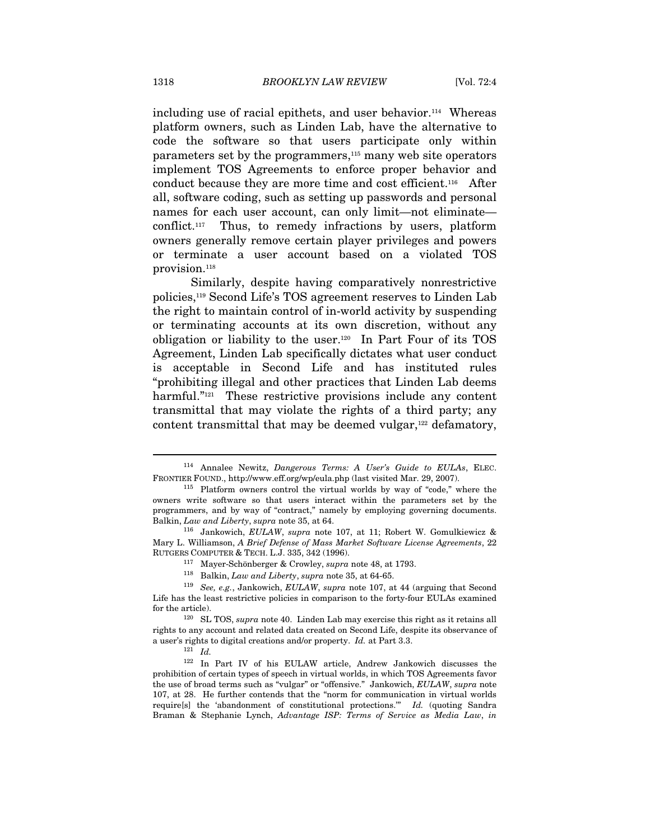including use of racial epithets, and user behavior.<sup>114</sup> Whereas platform owners, such as Linden Lab, have the alternative to code the software so that users participate only within parameters set by the programmers,115 many web site operators implement TOS Agreements to enforce proper behavior and conduct because they are more time and cost efficient.116 After all, software coding, such as setting up passwords and personal names for each user account, can only limit—not eliminate conflict.117 Thus, to remedy infractions by users, platform owners generally remove certain player privileges and powers or terminate a user account based on a violated TOS provision.<sup>118</sup>

Similarly, despite having comparatively nonrestrictive policies,119 Second Life's TOS agreement reserves to Linden Lab the right to maintain control of in-world activity by suspending or terminating accounts at its own discretion, without any obligation or liability to the user.120 In Part Four of its TOS Agreement, Linden Lab specifically dictates what user conduct is acceptable in Second Life and has instituted rules "prohibiting illegal and other practices that Linden Lab deems harmful."<sup>121</sup> These restrictive provisions include any content transmittal that may violate the rights of a third party; any content transmittal that may be deemed vulgar,<sup>122</sup> defamatory,

<sup>&</sup>lt;sup>114</sup> Annalee Newitz, Dangerous Terms: A User's Guide to EULAs, ELEC.

FRONTIER FOUND., http://www.eff.org/wp/eula.php (last visited Mar. 29, 2007). 115 Platform owners control the virtual worlds by way of "code," where the owners write software so that users interact within the parameters set by the programmers, and by way of "contract," namely by employing governing documents. Balkin, Law and Liberty, supra note 35, at 64.<br><sup>116</sup> Jankowich, EULAW, supra note 107, at 11; Robert W. Gomulkiewicz &

Mary L. Williamson, A Brief Defense of Mass Market Software License Agreements, 22 RUTGERS COMPUTER & TECH. L.J. 335, 342 (1996).<br>
<sup>117</sup> Mayer-Schönberger & Crowley, *supra* note 48, at 1793.<br>
<sup>118</sup> Balkin, *Law and Liberty*, *supra* note 35, at 64-65.<br>
<sup>119</sup> *See, e.g.*, Jankowich, *EULAW*, *supra* not

Life has the least restrictive policies in comparison to the forty-four EULAs examined for the article). 120 SL TOS, supra note 40. Linden Lab may exercise this right as it retains all

rights to any account and related data created on Second Life, despite its observance of a user's rights to digital creations and/or property. Id. at Part 3.3.  $121$  Id.

<sup>122</sup> In Part IV of his EULAW article, Andrew Jankowich discusses the prohibition of certain types of speech in virtual worlds, in which TOS Agreements favor the use of broad terms such as "vulgar" or "offensive." Jankowich, EULAW, supra note 107, at 28. He further contends that the "norm for communication in virtual worlds require[s] the 'abandonment of constitutional protections." Id. (quoting Sandra Braman & Stephanie Lynch, Advantage ISP: Terms of Service as Media Law, in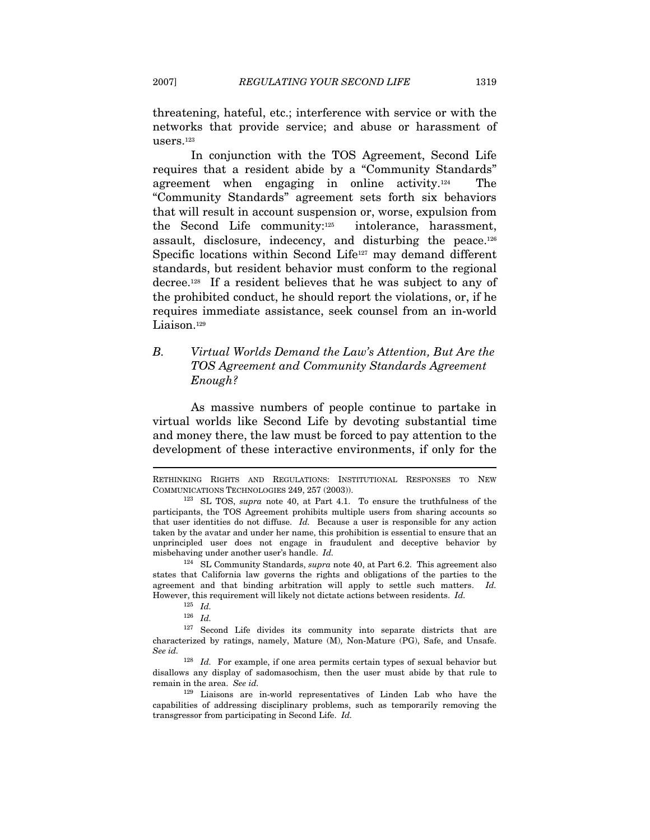threatening, hateful, etc.; interference with service or with the networks that provide service; and abuse or harassment of users.123

In conjunction with the TOS Agreement, Second Life requires that a resident abide by a "Community Standards" agreement when engaging in online activity.124 The "Community Standards" agreement sets forth six behaviors that will result in account suspension or, worse, expulsion from the Second Life community:125 intolerance, harassment, assault, disclosure, indecency, and disturbing the peace.126 Specific locations within Second Life<sup>127</sup> may demand different standards, but resident behavior must conform to the regional decree.128 If a resident believes that he was subject to any of the prohibited conduct, he should report the violations, or, if he requires immediate assistance, seek counsel from an in-world Liaison.<sup>129</sup>

# B. Virtual Worlds Demand the Law's Attention, But Are the TOS Agreement and Community Standards Agreement Enough?

As massive numbers of people continue to partake in virtual worlds like Second Life by devoting substantial time and money there, the law must be forced to pay attention to the development of these interactive environments, if only for the

RETHINKING RIGHTS AND REGULATIONS: INSTITUTIONAL RESPONSES TO NEW COMMUNICATIONS TECHNOLOGIES 249, 257 (2003)).<br><sup>123</sup> SL TOS, *supra* note 40, at Part 4.1. To ensure the truthfulness of the

participants, the TOS Agreement prohibits multiple users from sharing accounts so that user identities do not diffuse. Id. Because a user is responsible for any action taken by the avatar and under her name, this prohibition is essential to ensure that an unprincipled user does not engage in fraudulent and deceptive behavior by misbehaving under another user's handle. Id.

<sup>&</sup>lt;sup>124</sup> SL Community Standards, *supra* note 40, at Part 6.2. This agreement also states that California law governs the rights and obligations of the parties to the agreement and that binding arbitration will apply to settle such matters. Id. However, this requirement will likely not dictate actions between residents. Id.

 $^{125}\;$   $Id.$ 

 $126$  *Id.* 

<sup>&</sup>lt;sup>127</sup> Second Life divides its community into separate districts that are characterized by ratings, namely, Mature (M), Non-Mature (PG), Safe, and Unsafe. See id.

 $128$  *Id.* For example, if one area permits certain types of sexual behavior but disallows any display of sadomasochism, then the user must abide by that rule to remain in the area. See id.

<sup>129</sup> Liaisons are in-world representatives of Linden Lab who have the capabilities of addressing disciplinary problems, such as temporarily removing the transgressor from participating in Second Life. Id.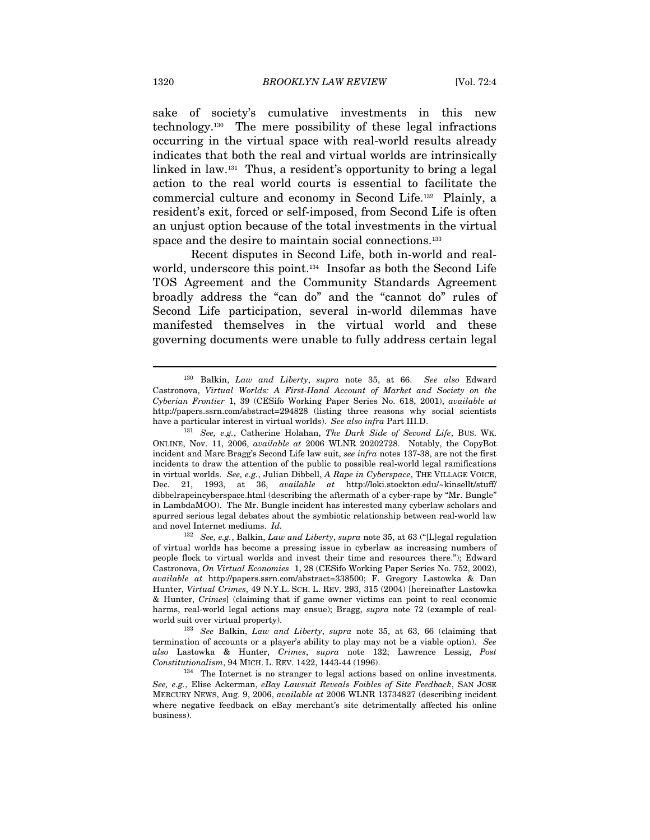sake of society's cumulative investments in this new technology.130 The mere possibility of these legal infractions occurring in the virtual space with real-world results already indicates that both the real and virtual worlds are intrinsically linked in law.131 Thus, a resident's opportunity to bring a legal action to the real world courts is essential to facilitate the commercial culture and economy in Second Life.132 Plainly, a resident's exit, forced or self-imposed, from Second Life is often an unjust option because of the total investments in the virtual space and the desire to maintain social connections.<sup>133</sup>

Recent disputes in Second Life, both in-world and realworld, underscore this point.134 Insofar as both the Second Life TOS Agreement and the Community Standards Agreement broadly address the "can do" and the "cannot do" rules of Second Life participation, several in-world dilemmas have manifested themselves in the virtual world and these governing documents were unable to fully address certain legal

<sup>130</sup> Balkin, Law and Liberty, supra note 35, at 66. See also Edward Castronova, Virtual Worlds: A First-Hand Account of Market and Society on the Cyberian Frontier 1, 39 (CESifo Working Paper Series No. 618, 2001), available at http://papers.ssrn.com/abstract=294828 (listing three reasons why social scientists have a particular interest in virtual worlds). See also infra Part III.D.<br><sup>131</sup> See, e.g., Catherine Holahan, The Dark Side of Second Life, BUS. WK.

ONLINE, Nov. 11, 2006, available at 2006 WLNR 20202728. Notably, the CopyBot incident and Marc Bragg's Second Life law suit, see infra notes 137-38, are not the first incidents to draw the attention of the public to possible real-world legal ramifications in virtual worlds. See, e.g., Julian Dibbell, A Rape in Cyberspace, THE VILLAGE VOICE, Dec. 21, 1993, at 36, available at http://loki.stockton.edu/~kinsellt/stuff/ dibbelrapeincyberspace.html (describing the aftermath of a cyber-rape by "Mr. Bungle" in LambdaMOO). The Mr. Bungle incident has interested many cyberlaw scholars and spurred serious legal debates about the symbiotic relationship between real-world law and novel Internet mediums. Id.

 $132$  See, e.g., Balkin, Law and Liberty, supra note 35, at 63 ("[L]egal regulation of virtual worlds has become a pressing issue in cyberlaw as increasing numbers of people flock to virtual worlds and invest their time and resources there."); Edward Castronova, On Virtual Economies 1, 28 (CESifo Working Paper Series No. 752, 2002), available at http://papers.ssrn.com/abstract=338500; F. Gregory Lastowka & Dan Hunter, Virtual Crimes, 49 N.Y.L. SCH. L. REV. 293, 315 (2004) [hereinafter Lastowka & Hunter, Crimes] (claiming that if game owner victims can point to real economic harms, real-world legal actions may ensue); Bragg, supra note 72 (example of real-

world suit over virtual property). 133 See Balkin, Law and Liberty, supra note 35, at 63, 66 (claiming that termination of accounts or a player's ability to play may not be a viable option). See also Lastowka & Hunter, Crimes, supra note 132; Lawrence Lessig, Post Constitutionalism, 94 MICH. L. REV. 1422, 1443-44 (1996). 134 The Internet is no stranger to legal actions based on online investments.

See, e.g., Elise Ackerman, eBay Lawsuit Reveals Foibles of Site Feedback, SAN JOSE MERCURY NEWS, Aug. 9, 2006, available at 2006 WLNR 13734827 (describing incident where negative feedback on eBay merchant's site detrimentally affected his online business).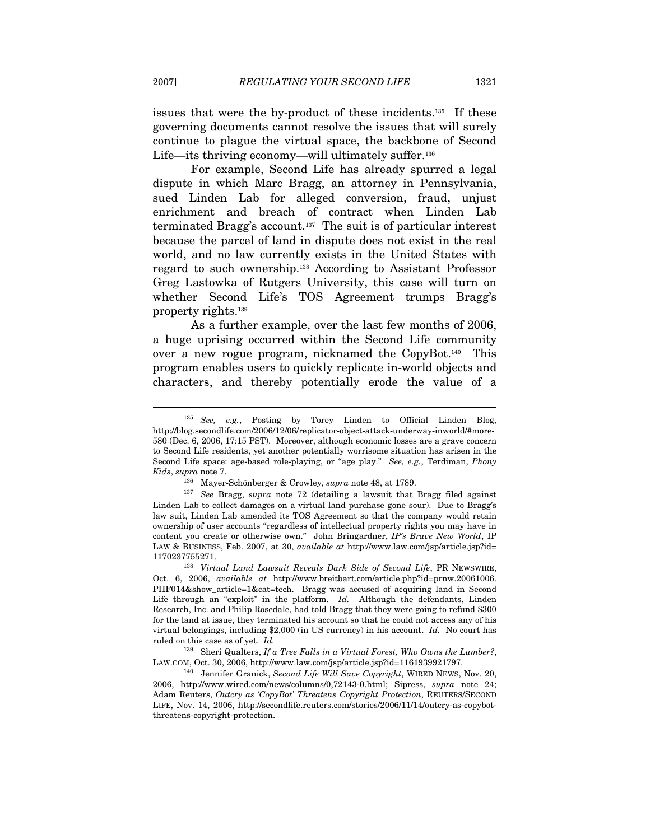issues that were the by-product of these incidents.135 If these governing documents cannot resolve the issues that will surely continue to plague the virtual space, the backbone of Second Life—its thriving economy—will ultimately suffer.<sup>136</sup>

For example, Second Life has already spurred a legal dispute in which Marc Bragg, an attorney in Pennsylvania, sued Linden Lab for alleged conversion, fraud, unjust enrichment and breach of contract when Linden Lab terminated Bragg's account.137 The suit is of particular interest because the parcel of land in dispute does not exist in the real world, and no law currently exists in the United States with regard to such ownership.138 According to Assistant Professor Greg Lastowka of Rutgers University, this case will turn on whether Second Life's TOS Agreement trumps Bragg's property rights.139

As a further example, over the last few months of 2006, a huge uprising occurred within the Second Life community over a new rogue program, nicknamed the CopyBot.140 This program enables users to quickly replicate in-world objects and characters, and thereby potentially erode the value of a

<sup>135</sup> See, e.g., Posting by Torey Linden to Official Linden Blog, http://blog.secondlife.com/2006/12/06/replicator-object-attack-underway-inworld/#more-580 (Dec. 6, 2006, 17:15 PST). Moreover, although economic losses are a grave concern to Second Life residents, yet another potentially worrisome situation has arisen in the Second Life space: age-based role-playing, or "age play." See, e.g., Terdiman, Phony

Kids, supra note 7.<br><sup>136</sup> Mayer-Schönberger & Crowley, *supra* note 48, at 1789.<br><sup>137</sup> See Bragg, *supra* note 72 (detailing a lawsuit that Bragg filed against Linden Lab to collect damages on a virtual land purchase gone sour). Due to Bragg's law suit, Linden Lab amended its TOS Agreement so that the company would retain ownership of user accounts "regardless of intellectual property rights you may have in content you create or otherwise own." John Bringardner, IP's Brave New World, IP LAW & BUSINESS, Feb. 2007, at 30, available at http://www.law.com/jsp/article.jsp?id=

<sup>1170237755271. 138</sup> Virtual Land Lawsuit Reveals Dark Side of Second Life, PR NEWSWIRE, Oct. 6, 2006, available at http://www.breitbart.com/article.php?id=prnw.20061006. PHF014&show\_article=1&cat=tech. Bragg was accused of acquiring land in Second Life through an "exploit" in the platform. Id. Although the defendants, Linden Research, Inc. and Philip Rosedale, had told Bragg that they were going to refund \$300 for the land at issue, they terminated his account so that he could not access any of his virtual belongings, including \$2,000 (in US currency) in his account. Id. No court has ruled on this case as of yet. Id.

 $139$  Sheri Qualters, If a Tree Falls in a Virtual Forest, Who Owns the Lumber?, LAW.COM, Oct. 30, 2006, http://www.law.com/jsp/article.jsp?id=1161939921797.

 $140$  Jennifer Granick, Second Life Will Save Copyright, WIRED NEWS, Nov. 20, 2006, http://www.wired.com/news/columns/0,72143-0.html; Sipress, supra note 24; Adam Reuters, Outcry as 'CopyBot' Threatens Copyright Protection, REUTERS/SECOND LIFE, Nov. 14, 2006, http://secondlife.reuters.com/stories/2006/11/14/outcry-as-copybotthreatens-copyright-protection.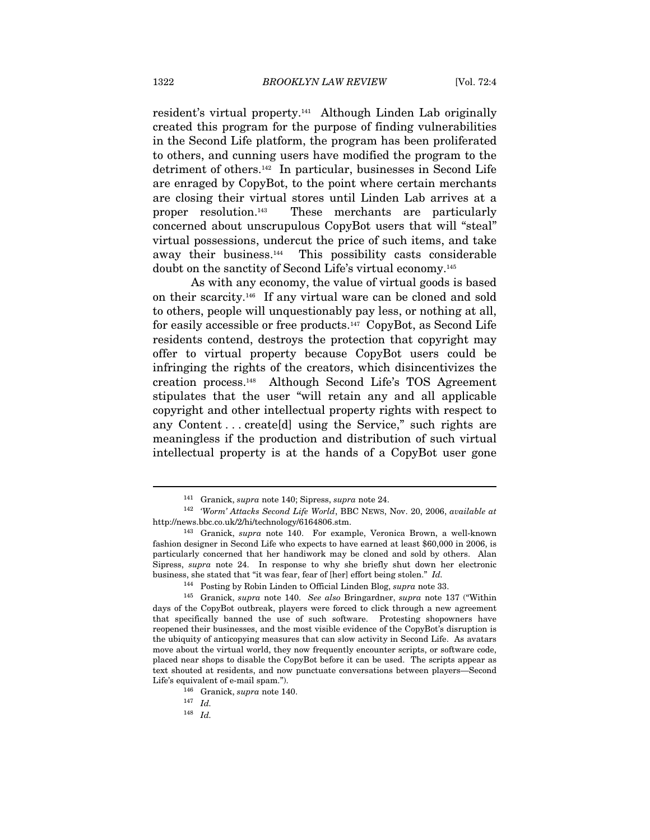resident's virtual property.141 Although Linden Lab originally created this program for the purpose of finding vulnerabilities in the Second Life platform, the program has been proliferated to others, and cunning users have modified the program to the detriment of others.142 In particular, businesses in Second Life are enraged by CopyBot, to the point where certain merchants are closing their virtual stores until Linden Lab arrives at a proper resolution.143 These merchants are particularly concerned about unscrupulous CopyBot users that will "steal" virtual possessions, undercut the price of such items, and take away their business.144 This possibility casts considerable doubt on the sanctity of Second Life's virtual economy.145

As with any economy, the value of virtual goods is based on their scarcity.146 If any virtual ware can be cloned and sold to others, people will unquestionably pay less, or nothing at all, for easily accessible or free products.<sup>147</sup> CopyBot, as Second Life residents contend, destroys the protection that copyright may offer to virtual property because CopyBot users could be infringing the rights of the creators, which disincentivizes the creation process.148 Although Second Life's TOS Agreement stipulates that the user "will retain any and all applicable copyright and other intellectual property rights with respect to any Content . . . create[d] using the Service," such rights are meaningless if the production and distribution of such virtual intellectual property is at the hands of a CopyBot user gone

<sup>141</sup> Granick, supra note 140; Sipress, supra note 24.

<sup>&</sup>lt;sup>142</sup> 'Worm' Attacks Second Life World, BBC NEWS, Nov. 20, 2006, available at http://news.bbc.co.uk/2/hi/technology/6164806.stm.

 $143$  Granick, supra note 140. For example, Veronica Brown, a well-known fashion designer in Second Life who expects to have earned at least \$60,000 in 2006, is particularly concerned that her handiwork may be cloned and sold by others. Alan Sipress, supra note 24. In response to why she briefly shut down her electronic business, she stated that "it was fear, fear of [her] effort being stolen." Id.  $144$  Posting by Robin Linden to Official Linden Blog, supra note 33. 145 Granick, supra note 140. See also Bringardner, supra note 137 ("Wit

days of the CopyBot outbreak, players were forced to click through a new agreement that specifically banned the use of such software. Protesting shopowners have reopened their businesses, and the most visible evidence of the CopyBot's disruption is the ubiquity of anticopying measures that can slow activity in Second Life. As avatars move about the virtual world, they now frequently encounter scripts, or software code, placed near shops to disable the CopyBot before it can be used. The scripts appear as text shouted at residents, and now punctuate conversations between players—Second Life's equivalent of e-mail spam.").<br>  $^{146}$  Granick, supra note 140.<br>  $^{147}$  Id.

 $148$  Id.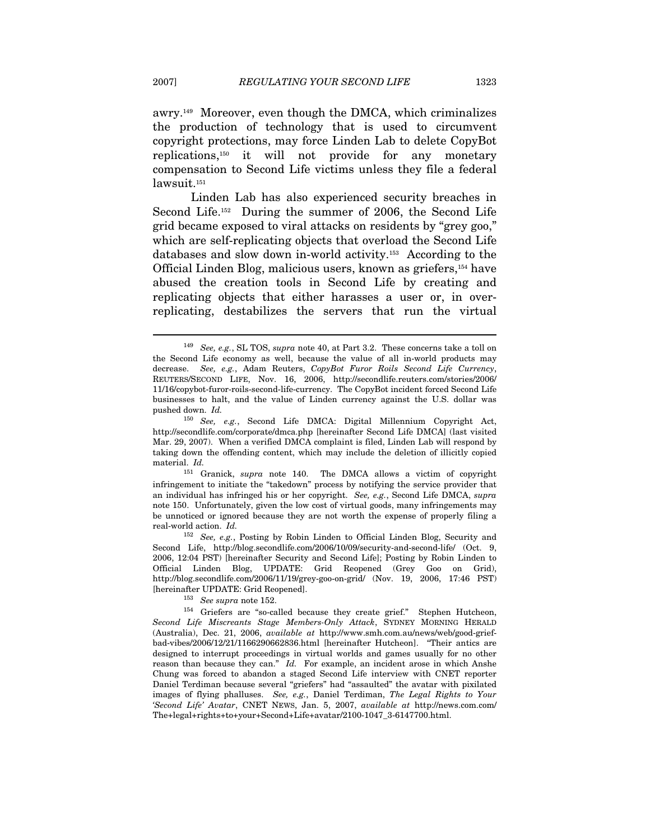awry.149 Moreover, even though the DMCA, which criminalizes the production of technology that is used to circumvent copyright protections, may force Linden Lab to delete CopyBot replications,150 it will not provide for any monetary compensation to Second Life victims unless they file a federal

Linden Lab has also experienced security breaches in Second Life.152 During the summer of 2006, the Second Life grid became exposed to viral attacks on residents by "grey goo," which are self-replicating objects that overload the Second Life databases and slow down in-world activity.153 According to the Official Linden Blog, malicious users, known as griefers,154 have abused the creation tools in Second Life by creating and replicating objects that either harasses a user or, in overreplicating, destabilizes the servers that run the virtual

infringement to initiate the "takedown" process by notifying the service provider that an individual has infringed his or her copyright. See, e.g., Second Life DMCA, supra note 150. Unfortunately, given the low cost of virtual goods, many infringements may be unnoticed or ignored because they are not worth the expense of properly filing a real-world action. Id.

<sup>152</sup> See, e.g., Posting by Robin Linden to Official Linden Blog, Security and Second Life, http://blog.secondlife.com/2006/10/09/security-and-second-life/ (Oct. 9, 2006, 12:04 PST) [hereinafter Security and Second Life]; Posting by Robin Linden to Official Linden Blog, UPDATE: Grid Reopened (Grey Goo on Grid), http://blog.secondlife.com/2006/11/19/grey-goo-on-grid/ (Nov. 19, 2006, 17:46 PST)

<sup>153</sup> See supra note 152.<br><sup>154</sup> Griefers are "so-called because they create grief." Stephen Hutcheon, Second Life Miscreants Stage Members-Only Attack, SYDNEY MORNING HERALD (Australia), Dec. 21, 2006, available at http://www.smh.com.au/news/web/good-griefbad-vibes/2006/12/21/1166290662836.html [hereinafter Hutcheon]. "Their antics are designed to interrupt proceedings in virtual worlds and games usually for no other reason than because they can." Id. For example, an incident arose in which Anshe Chung was forced to abandon a staged Second Life interview with CNET reporter Daniel Terdiman because several "griefers" had "assaulted" the avatar with pixilated images of flying phalluses. See, e.g., Daniel Terdiman, The Legal Rights to Your 'Second Life' Avatar, CNET NEWS, Jan. 5, 2007, available at http://news.com.com/ The+legal+rights+to+your+Second+Life+avatar/2100-1047\_3-6147700.html.

lawsuit.<sup>151</sup>

<sup>&</sup>lt;sup>149</sup> See, e.g., SL TOS, supra note 40, at Part 3.2. These concerns take a toll on the Second Life economy as well, because the value of all in-world products may decrease. See, e.g., Adam Reuters, CopyBot Furor Roils Second Life Currency, REUTERS/SECOND LIFE, Nov. 16, 2006, http://secondlife.reuters.com/stories/2006/ 11/16/copybot-furor-roils-second-life-currency. The CopyBot incident forced Second Life businesses to halt, and the value of Linden currency against the U.S. dollar was pushed down. Id.

<sup>150</sup> See, e.g., Second Life DMCA: Digital Millennium Copyright Act, http://secondlife.com/corporate/dmca.php [hereinafter Second Life DMCA] (last visited Mar. 29, 2007). When a verified DMCA complaint is filed, Linden Lab will respond by taking down the offending content, which may include the deletion of illicitly copied material. Id.<br><sup>151</sup> Granick, *supra* note 140. The DMCA allows a victim of copyright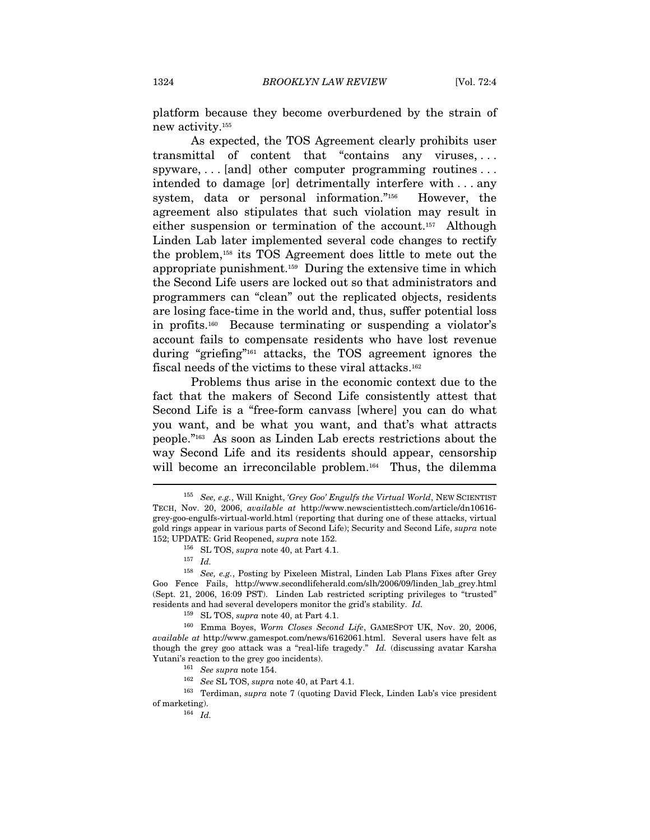platform because they become overburdened by the strain of new activity.155

As expected, the TOS Agreement clearly prohibits user transmittal of content that "contains any viruses, . . . spyware, ... [and] other computer programming routines ... intended to damage [or] detrimentally interfere with . . . any system, data or personal information."156 However, the agreement also stipulates that such violation may result in either suspension or termination of the account.157 Although Linden Lab later implemented several code changes to rectify the problem,158 its TOS Agreement does little to mete out the appropriate punishment.159 During the extensive time in which the Second Life users are locked out so that administrators and programmers can "clean" out the replicated objects, residents are losing face-time in the world and, thus, suffer potential loss in profits.160 Because terminating or suspending a violator's account fails to compensate residents who have lost revenue during "griefing"161 attacks, the TOS agreement ignores the fiscal needs of the victims to these viral attacks.162

Problems thus arise in the economic context due to the fact that the makers of Second Life consistently attest that Second Life is a "free-form canvass [where] you can do what you want, and be what you want, and that's what attracts people."163 As soon as Linden Lab erects restrictions about the way Second Life and its residents should appear, censorship will become an irreconcilable problem.<sup>164</sup> Thus, the dilemma

<sup>&</sup>lt;sup>155</sup> See, e.g., Will Knight, 'Grey Goo' Engulfs the Virtual World, NEW SCIENTIST TECH, Nov. 20, 2006, available at http://www.newscientisttech.com/article/dn10616 grey-goo-engulfs-virtual-world.html (reporting that during one of these attacks, virtual gold rings appear in various parts of Second Life); Security and Second Life, supra note 152; UPDATE: Grid Reopened, *supra* note 152.<br><sup>156</sup> SL TOS, *supra* note 40, at Part 4.1.<br><sup>157</sup> Id.

<sup>158</sup> See, e.g., Posting by Pixeleen Mistral, Linden Lab Plans Fixes after Grey Goo Fence Fails, http://www.secondlifeherald.com/slh/2006/09/linden\_lab\_grey.html (Sept. 21, 2006, 16:09 PST). Linden Lab restricted scripting privileges to "trusted" residents and had several developers monitor the grid's stability. Id.

<sup>&</sup>lt;sup>159</sup> SL TOS, *supra* note 40, at Part 4.1.<br><sup>160</sup> Emma Boyes, Worm Closes Second Life, GAMESPOT UK, Nov. 20, 2006, available at http://www.gamespot.com/news/6162061.html. Several users have felt as though the grey goo attack was a "real-life tragedy." Id. (discussing avatar Karsha

Yutani's reaction to the grey goo incidents).<br>
<sup>161</sup> See supra note 154.<br>
<sup>162</sup> See SL TOS, *supra* note 40, at Part 4.1.<br>
<sup>163</sup> Terdiman, *supra* note 7 (quoting David Fleck, Linden Lab's vice president % of marketing).<br> $164$   $Id.$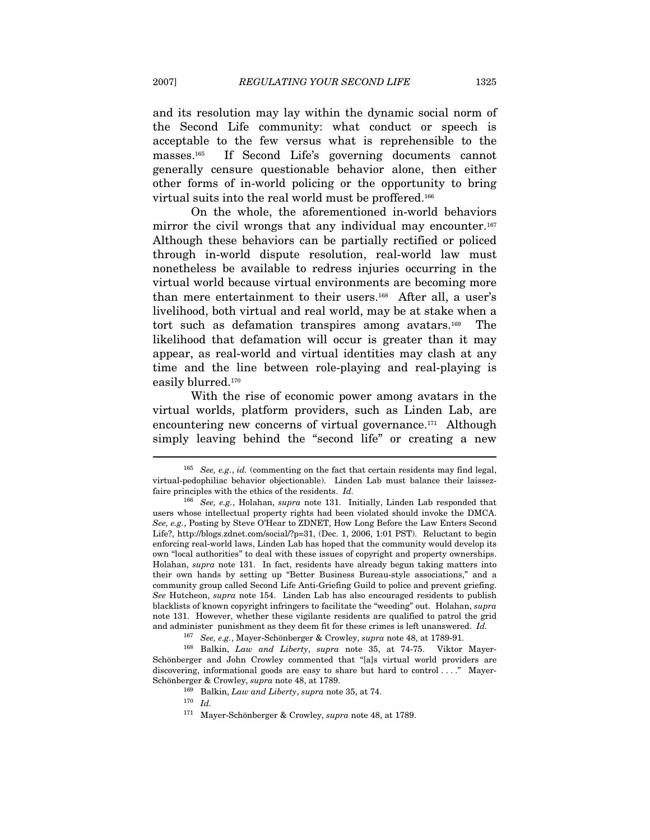and its resolution may lay within the dynamic social norm of the Second Life community: what conduct or speech is acceptable to the few versus what is reprehensible to the masses.165 If Second Life's governing documents cannot generally censure questionable behavior alone, then either other forms of in-world policing or the opportunity to bring virtual suits into the real world must be proffered.166

On the whole, the aforementioned in-world behaviors mirror the civil wrongs that any individual may encounter.<sup>167</sup> Although these behaviors can be partially rectified or policed through in-world dispute resolution, real-world law must nonetheless be available to redress injuries occurring in the virtual world because virtual environments are becoming more than mere entertainment to their users.168 After all, a user's livelihood, both virtual and real world, may be at stake when a tort such as defamation transpires among avatars.169 The likelihood that defamation will occur is greater than it may appear, as real-world and virtual identities may clash at any time and the line between role-playing and real-playing is easily blurred.<sup>170</sup>

With the rise of economic power among avatars in the virtual worlds, platform providers, such as Linden Lab, are encountering new concerns of virtual governance.<sup>171</sup> Although simply leaving behind the "second life" or creating a new

<sup>&</sup>lt;sup>165</sup> See, e.g., id. (commenting on the fact that certain residents may find legal, virtual-pedophiliac behavior objectionable). Linden Lab must balance their laissezfaire principles with the ethics of the residents. Id.

<sup>&</sup>lt;sup>166</sup> See, e.g., Holahan, supra note 131. Initially, Linden Lab responded that users whose intellectual property rights had been violated should invoke the DMCA. See, e.g., Posting by Steve O'Hear to ZDNET, How Long Before the Law Enters Second Life?, http://blogs.zdnet.com/social/?p=31, (Dec. 1, 2006, 1:01 PST). Reluctant to begin enforcing real-world laws, Linden Lab has hoped that the community would develop its own "local authorities" to deal with these issues of copyright and property ownerships. Holahan, supra note 131. In fact, residents have already begun taking matters into their own hands by setting up "Better Business Bureau-style associations," and a community group called Second Life Anti-Griefing Guild to police and prevent griefing. See Hutcheon, supra note 154. Linden Lab has also encouraged residents to publish blacklists of known copyright infringers to facilitate the "weeding" out. Holahan, supra note 131. However, whether these vigilante residents are qualified to patrol the grid and administer punishment as they deem fit for these crimes is left unanswered. Id.<br><sup>167</sup> See, e.g., Mayer-Schönberger & Crowley, *supra* note 48, at 1789-91.

 $168$  Balkin, Law and Liberty, supra note 35, at 74-75. Viktor Mayer-Schönberger and John Crowley commented that "[a]s virtual world providers are discovering, informational goods are easy to share but hard to control...." Mayer-Schönberger & Crowley, supra note 48, at 1789.<br><sup>169</sup> Balkin, *Law and Liberty*, supra note 35, at 74.<br><sup>170</sup> Id.

<sup>171</sup> Mayer-Schönberger & Crowley, supra note 48, at 1789.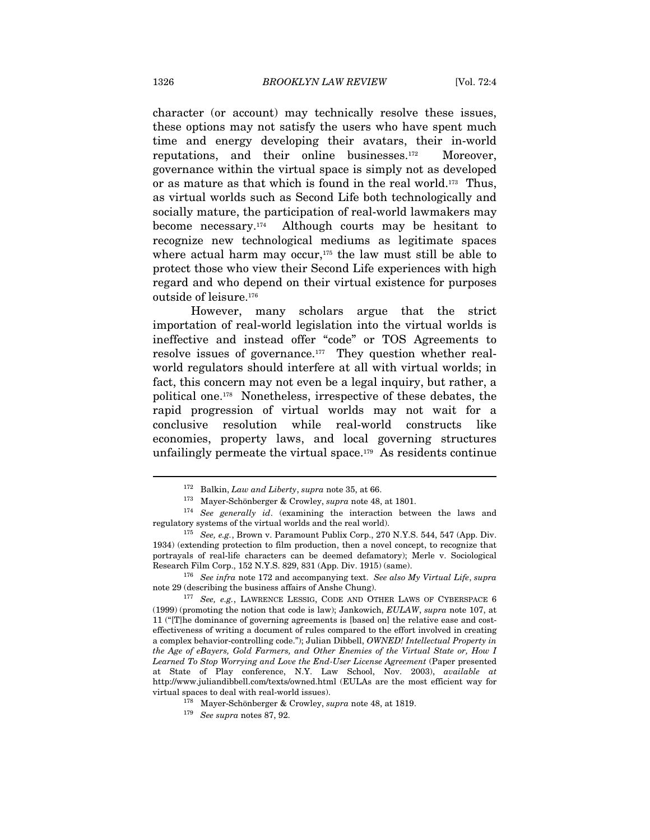character (or account) may technically resolve these issues, these options may not satisfy the users who have spent much time and energy developing their avatars, their in-world reputations, and their online businesses.172 Moreover, governance within the virtual space is simply not as developed or as mature as that which is found in the real world.173 Thus, as virtual worlds such as Second Life both technologically and socially mature, the participation of real-world lawmakers may become necessary.174 Although courts may be hesitant to recognize new technological mediums as legitimate spaces where actual harm may occur, $175$  the law must still be able to protect those who view their Second Life experiences with high regard and who depend on their virtual existence for purposes outside of leisure.176

However, many scholars argue that the strict importation of real-world legislation into the virtual worlds is ineffective and instead offer "code" or TOS Agreements to resolve issues of governance.177 They question whether realworld regulators should interfere at all with virtual worlds; in fact, this concern may not even be a legal inquiry, but rather, a political one.178 Nonetheless, irrespective of these debates, the rapid progression of virtual worlds may not wait for a conclusive resolution while real-world constructs like economies, property laws, and local governing structures unfailingly permeate the virtual space.179 As residents continue

<sup>172</sup> Balkin, Law and Liberty, supra note 35, at 66.

<sup>&</sup>lt;sup>173</sup> Mayer-Schönberger & Crowley, *supra* note 48, at 1801.<br><sup>174</sup> See generally id. (examining the interaction between the laws and regulatory systems of the virtual worlds and the real world).<br><sup>175</sup> See, e.g., Brown v. Paramount Publix Corp., 270 N.Y.S. 544, 547 (App. Div.

<sup>1934) (</sup>extending protection to film production, then a novel concept, to recognize that portrayals of real-life characters can be deemed defamatory); Merle v. Sociological Research Film Corp., 152 N.Y.S. 829, 831 (App. Div. 1915) (same).<br><sup>176</sup> See infra note 172 and accompanying text. See also My Virtual Life, supra

note 29 (describing the business affairs of Anshe Chung).<br><sup>177</sup> See, e.g., LAWRENCE LESSIG, CODE AND OTHER LAWS OF CYBERSPACE 6

<sup>(1999)</sup> (promoting the notion that code is law); Jankowich, EULAW, supra note 107, at 11 ("[T]he dominance of governing agreements is [based on] the relative ease and costeffectiveness of writing a document of rules compared to the effort involved in creating a complex behavior-controlling code."); Julian Dibbell, OWNED! Intellectual Property in the Age of eBayers, Gold Farmers, and Other Enemies of the Virtual State or, How I Learned To Stop Worrying and Love the End-User License Agreement (Paper presented at State of Play conference, N.Y. Law School, Nov. 2003), available at http://www.juliandibbell.com/texts/owned.html (EULAs are the most efficient way for virtual spaces to deal with real-world issues).<br><sup>178</sup> Mayer-Schönberger & Crowley, *supra* note 48, at 1819.<br><sup>179</sup> See supra notes 87, 92.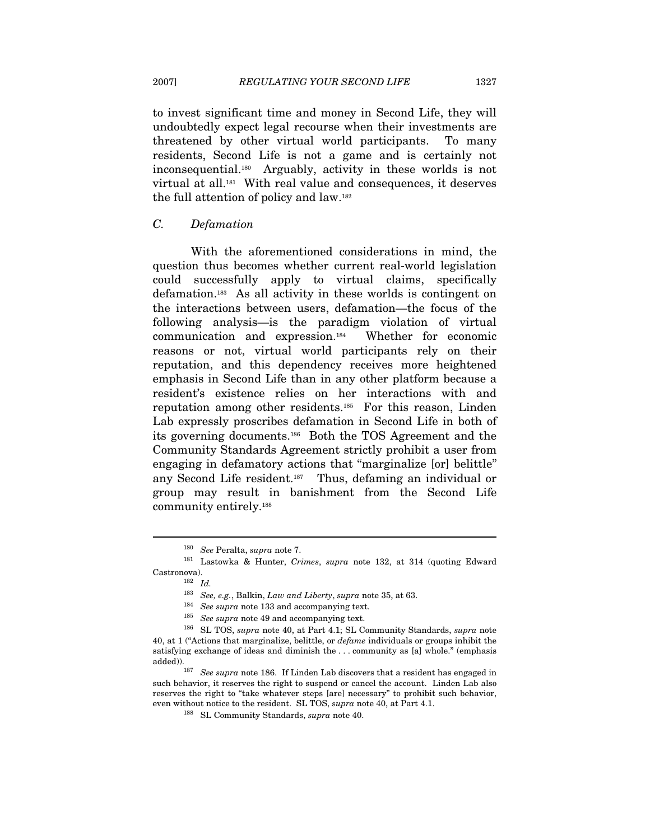to invest significant time and money in Second Life, they will undoubtedly expect legal recourse when their investments are threatened by other virtual world participants. To many residents, Second Life is not a game and is certainly not inconsequential.180 Arguably, activity in these worlds is not virtual at all.181 With real value and consequences, it deserves the full attention of policy and law.182

### C. Defamation

With the aforementioned considerations in mind, the question thus becomes whether current real-world legislation could successfully apply to virtual claims, specifically defamation.183 As all activity in these worlds is contingent on the interactions between users, defamation—the focus of the following analysis—is the paradigm violation of virtual communication and expression.184 Whether for economic reasons or not, virtual world participants rely on their reputation, and this dependency receives more heightened emphasis in Second Life than in any other platform because a resident's existence relies on her interactions with and reputation among other residents.185 For this reason, Linden Lab expressly proscribes defamation in Second Life in both of its governing documents.186 Both the TOS Agreement and the Community Standards Agreement strictly prohibit a user from engaging in defamatory actions that "marginalize [or] belittle" any Second Life resident.187 Thus, defaming an individual or group may result in banishment from the Second Life community entirely.188

<sup>&</sup>lt;sup>180</sup> See Peralta, supra note 7.<br><sup>181</sup> Lastowka & Hunter, Crimes, supra note 132, at 314 (quoting Edward Castronova).  $182\;\;Id.$  <br/> $2$ Id.  $183\;\;See,\,e.g.,$ Balkin,  $Law$  <br/>and Liberty,  $supra$  note 35, at 63.

<sup>&</sup>lt;sup>184</sup> See supra note 133 and accompanying text.<br><sup>185</sup> See supra note 49 and accompanying text.<br><sup>186</sup> SL TOS, *supra* note 40, at Part 4.1; SL Community Standards, *supra* note 40, at 1 ("Actions that marginalize, belittle, or defame individuals or groups inhibit the satisfying exchange of ideas and diminish the . . . community as [a] whole." (emphasis added)).<br><sup>187</sup> See supra note 186. If Linden Lab discovers that a resident has engaged in

such behavior, it reserves the right to suspend or cancel the account. Linden Lab also reserves the right to "take whatever steps [are] necessary" to prohibit such behavior, even without notice to the resident. SL TOS, supra note 40, at Part 4.1. <sup>188</sup> SL Community Standards, *supra* note 40.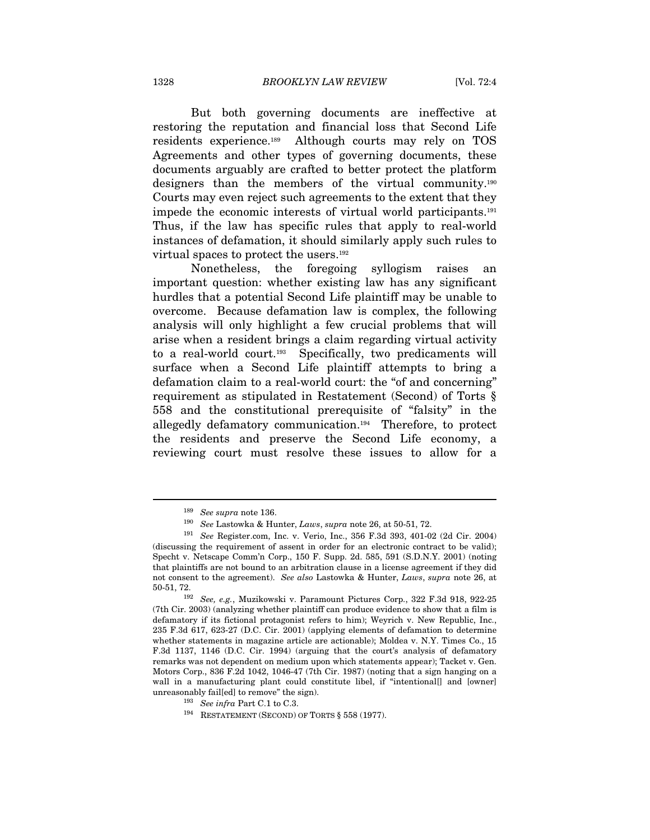But both governing documents are ineffective at restoring the reputation and financial loss that Second Life residents experience.189 Although courts may rely on TOS Agreements and other types of governing documents, these documents arguably are crafted to better protect the platform designers than the members of the virtual community.190 Courts may even reject such agreements to the extent that they impede the economic interests of virtual world participants.191 Thus, if the law has specific rules that apply to real-world instances of defamation, it should similarly apply such rules to virtual spaces to protect the users.192

Nonetheless, the foregoing syllogism raises an important question: whether existing law has any significant hurdles that a potential Second Life plaintiff may be unable to overcome. Because defamation law is complex, the following analysis will only highlight a few crucial problems that will arise when a resident brings a claim regarding virtual activity to a real-world court.193 Specifically, two predicaments will surface when a Second Life plaintiff attempts to bring a defamation claim to a real-world court: the "of and concerning" requirement as stipulated in Restatement (Second) of Torts § 558 and the constitutional prerequisite of "falsity" in the allegedly defamatory communication.194 Therefore, to protect the residents and preserve the Second Life economy, a reviewing court must resolve these issues to allow for a

<sup>&</sup>lt;sup>189</sup> See supra note 136.<br><sup>190</sup> See Lastowka & Hunter, *Laws, supra* note 26, at 50-51, 72.<br><sup>191</sup> See Register.com, Inc. v. Verio, Inc., 356 F.3d 393, 401-02 (2d Cir. 2004) (discussing the requirement of assent in order for an electronic contract to be valid); Specht v. Netscape Comm'n Corp., 150 F. Supp. 2d. 585, 591 (S.D.N.Y. 2001) (noting that plaintiffs are not bound to an arbitration clause in a license agreement if they did not consent to the agreement). See also Lastowka & Hunter, Laws, supra note 26, at 50-51, 72. 192 See, e.g., Muzikowski v. Paramount Pictures Corp., 322 F.3d 918, 922-25

<sup>(7</sup>th Cir. 2003) (analyzing whether plaintiff can produce evidence to show that a film is defamatory if its fictional protagonist refers to him); Weyrich v. New Republic, Inc., 235 F.3d 617, 623-27 (D.C. Cir. 2001) (applying elements of defamation to determine whether statements in magazine article are actionable); Moldea v. N.Y. Times Co., 15 F.3d 1137, 1146 (D.C. Cir. 1994) (arguing that the court's analysis of defamatory remarks was not dependent on medium upon which statements appear); Tacket v. Gen. Motors Corp., 836 F.2d 1042, 1046-47 (7th Cir. 1987) (noting that a sign hanging on a wall in a manufacturing plant could constitute libel, if "intentional[] and [owner] unreasonably fail[ed] to remove" the sign).<br>
<sup>193</sup> See infra Part C.1 to C.3.<br>
<sup>194</sup> RESTATEMENT (SECOND) OF TORTS § 558 (1977).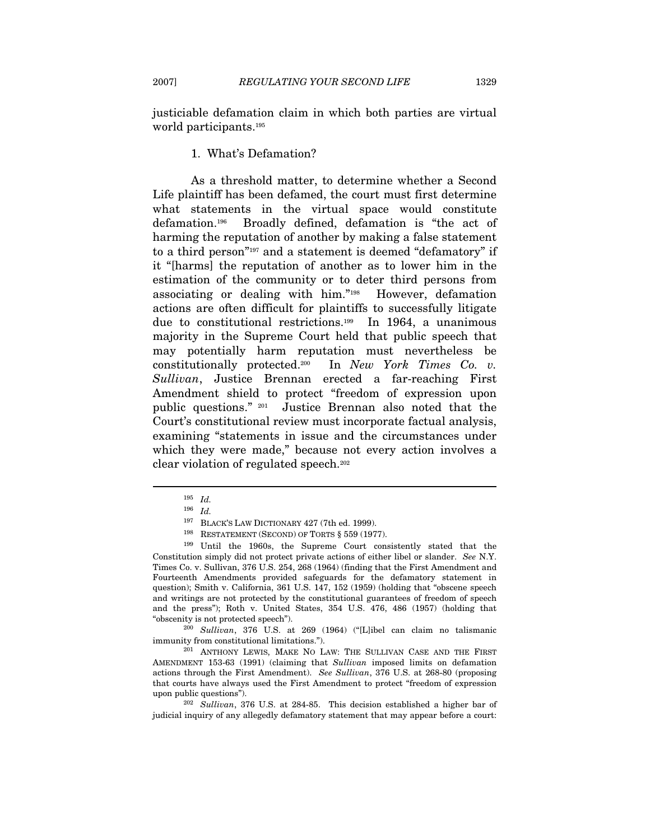justiciable defamation claim in which both parties are virtual world participants.195

#### 1. What's Defamation?

As a threshold matter, to determine whether a Second Life plaintiff has been defamed, the court must first determine what statements in the virtual space would constitute defamation.196 Broadly defined, defamation is "the act of harming the reputation of another by making a false statement to a third person"197 and a statement is deemed "defamatory" if it "[harms] the reputation of another as to lower him in the estimation of the community or to deter third persons from associating or dealing with him."198 However, defamation actions are often difficult for plaintiffs to successfully litigate due to constitutional restrictions.199 In 1964, a unanimous majority in the Supreme Court held that public speech that may potentially harm reputation must nevertheless be constitutionally protected.200 In New York Times Co. v. Sullivan, Justice Brennan erected a far-reaching First Amendment shield to protect "freedom of expression upon public questions." 201 Justice Brennan also noted that the Court's constitutional review must incorporate factual analysis, examining "statements in issue and the circumstances under which they were made," because not every action involves a clear violation of regulated speech.202

<sup>195</sup> Id.

 $^{196}$   $\,$   $Id.$   $^{197}$   $\,$  BLACK'S LAW DICTIONARY 427 (7th ed. 1999).

<sup>&</sup>lt;sup>198</sup> BESTATEMENT (SECOND) OF TORTS § 559 (1977). <sup>199</sup> Until the 1960s, the Supreme Court consistently stated that the Constitution simply did not protect private actions of either libel or slander. See N.Y. Times Co. v. Sullivan, 376 U.S. 254, 268 (1964) (finding that the First Amendment and Fourteenth Amendments provided safeguards for the defamatory statement in question); Smith v. California, 361 U.S. 147, 152 (1959) (holding that "obscene speech and writings are not protected by the constitutional guarantees of freedom of speech and the press"); Roth v. United States, 354 U.S. 476, 486 (1957) (holding that "obscenity is not protected speech").<br><sup>200</sup> Sullivan, 376 U.S. at 269 (1964) ("[L]ibel can claim no talismanic

immunity from constitutional limitations."). 201 ANTHONY LEWIS, MAKE NO LAW: THE SULLIVAN CASE AND THE FIRST

AMENDMENT 153-63 (1991) (claiming that Sullivan imposed limits on defamation actions through the First Amendment). See Sullivan, 376 U.S. at 268-80 (proposing that courts have always used the First Amendment to protect "freedom of expression

upon public questions").  $^{202}$  Sullivan, 376 U.S. at 284-85. This decision established a higher bar of judicial inquiry of any allegedly defamatory statement that may appear before a court: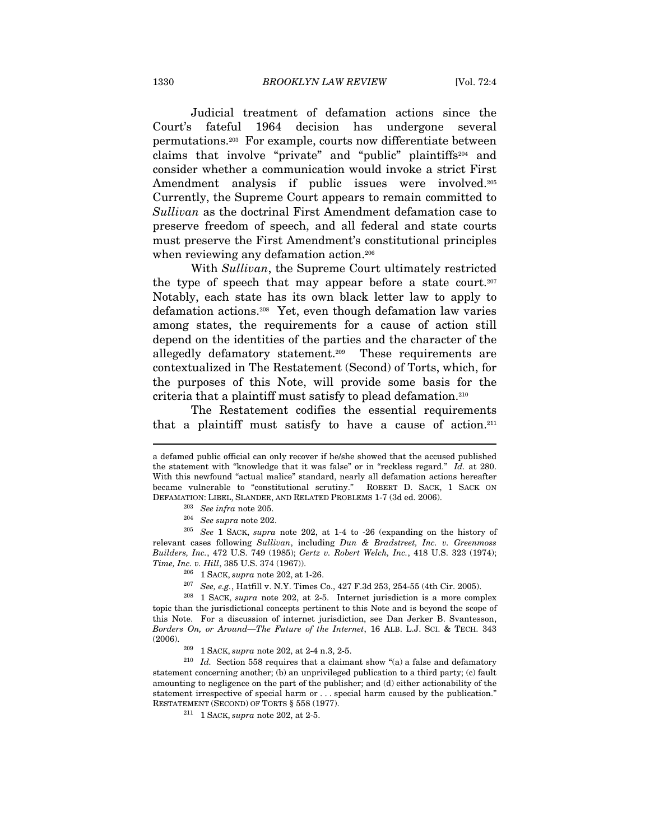Judicial treatment of defamation actions since the Court's fateful 1964 decision has undergone several permutations.203 For example, courts now differentiate between claims that involve "private" and "public" plaintiffs204 and consider whether a communication would invoke a strict First Amendment analysis if public issues were involved.<sup>205</sup> Currently, the Supreme Court appears to remain committed to Sullivan as the doctrinal First Amendment defamation case to preserve freedom of speech, and all federal and state courts must preserve the First Amendment's constitutional principles when reviewing any defamation action.<sup>206</sup>

With Sullivan, the Supreme Court ultimately restricted the type of speech that may appear before a state court.<sup>207</sup> Notably, each state has its own black letter law to apply to defamation actions.208 Yet, even though defamation law varies among states, the requirements for a cause of action still depend on the identities of the parties and the character of the allegedly defamatory statement.209 These requirements are contextualized in The Restatement (Second) of Torts, which, for the purposes of this Note, will provide some basis for the criteria that a plaintiff must satisfy to plead defamation.210

The Restatement codifies the essential requirements that a plaintiff must satisfy to have a cause of action.<sup>211</sup>

a defamed public official can only recover if he/she showed that the accused published the statement with "knowledge that it was false" or in "reckless regard." Id. at 280. With this newfound "actual malice" standard, nearly all defamation actions hereafter became vulnerable to "constitutional scrutiny." ROBERT D. SACK, 1 SACK ON DEFAMATION: LIBEL, SLANDER, AND RELATED PROBLEMS 1-7 (3d ed. 2006).<br><sup>203</sup> See infra note 205.<br><sup>204</sup> See supra note 202.

<sup>205</sup> See 1 SACK, supra note 202, at 1-4 to -26 (expanding on the history of relevant cases following Sullivan, including Dun & Bradstreet, Inc. v. Greenmoss Builders, Inc., 472 U.S. 749 (1985); Gertz v. Robert Welch, Inc., 418 U.S. 323 (1974); Time, Inc. v. Hill, 385 U.S. 374 (1967)).<br><sup>206</sup> 1 SACK, *supra* note 202, at 1-26.<br><sup>207</sup> *See, e.g.*, Hatfill v. N.Y. Times Co., 427 F.3d 253, 254-55 (4th Cir. 2005).<br><sup>208</sup> 1 SACK, *supra* note 202, at 2-5. Internet juris

topic than the jurisdictional concepts pertinent to this Note and is beyond the scope of this Note. For a discussion of internet jurisdiction, see Dan Jerker B. Svantesson, Borders On, or Around—The Future of the Internet, 16 ALB. L.J. SCI. & TECH. 343 (2006). 209 1 SACK, supra note 202, at 2-4 n.3, 2-5. 210 Id. Section 558 requires that a claimant show "(a) a false and defamatory

statement concerning another; (b) an unprivileged publication to a third party; (c) fault amounting to negligence on the part of the publisher; and (d) either actionability of the statement irrespective of special harm or . . . special harm caused by the publication." RESTATEMENT (SECOND) OF TORTS  $\S$  558 (1977).  $^{211}$  1 SACK,  $supra$  note 202, at 2-5.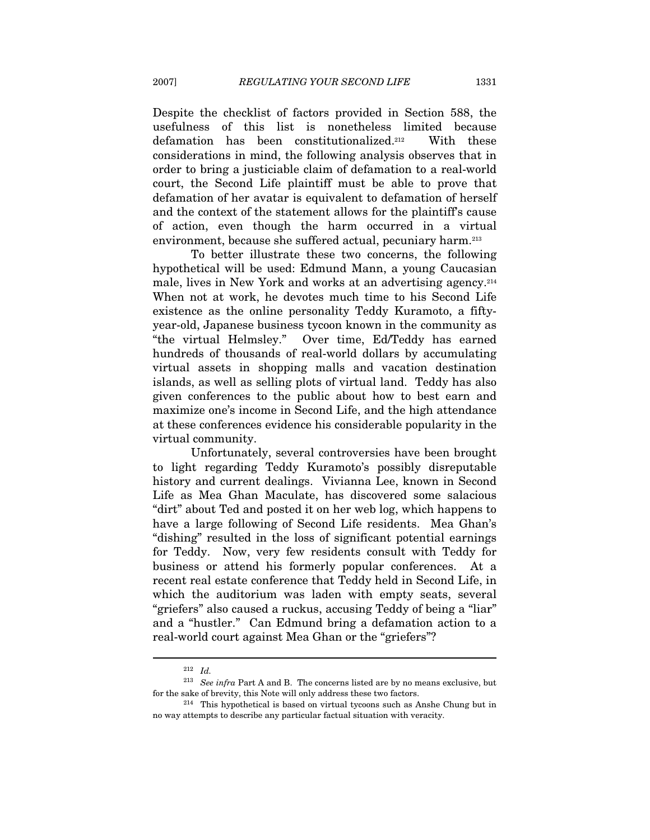Despite the checklist of factors provided in Section 588, the usefulness of this list is nonetheless limited because defamation has been constitutionalized.212 With these considerations in mind, the following analysis observes that in order to bring a justiciable claim of defamation to a real-world court, the Second Life plaintiff must be able to prove that defamation of her avatar is equivalent to defamation of herself and the context of the statement allows for the plaintiff's cause of action, even though the harm occurred in a virtual environment, because she suffered actual, pecuniary harm.<sup>213</sup>

To better illustrate these two concerns, the following hypothetical will be used: Edmund Mann, a young Caucasian male, lives in New York and works at an advertising agency.214 When not at work, he devotes much time to his Second Life existence as the online personality Teddy Kuramoto, a fiftyyear-old, Japanese business tycoon known in the community as "the virtual Helmsley." Over time, Ed/Teddy has earned hundreds of thousands of real-world dollars by accumulating virtual assets in shopping malls and vacation destination islands, as well as selling plots of virtual land. Teddy has also given conferences to the public about how to best earn and maximize one's income in Second Life, and the high attendance at these conferences evidence his considerable popularity in the virtual community.

Unfortunately, several controversies have been brought to light regarding Teddy Kuramoto's possibly disreputable history and current dealings. Vivianna Lee, known in Second Life as Mea Ghan Maculate, has discovered some salacious "dirt" about Ted and posted it on her web log, which happens to have a large following of Second Life residents. Mea Ghan's "dishing" resulted in the loss of significant potential earnings for Teddy. Now, very few residents consult with Teddy for business or attend his formerly popular conferences. At a recent real estate conference that Teddy held in Second Life, in which the auditorium was laden with empty seats, several "griefers" also caused a ruckus, accusing Teddy of being a "liar" and a "hustler." Can Edmund bring a defamation action to a real-world court against Mea Ghan or the "griefers"?

<sup>212</sup> Id.

 $^{213}\,$  See infra Part A and B. The concerns listed are by no means exclusive, but for the sake of brevity, this Note will only address these two factors.<br><sup>214</sup> This hypothetical is based on virtual tycoons such as Anshe Chung but in

no way attempts to describe any particular factual situation with veracity.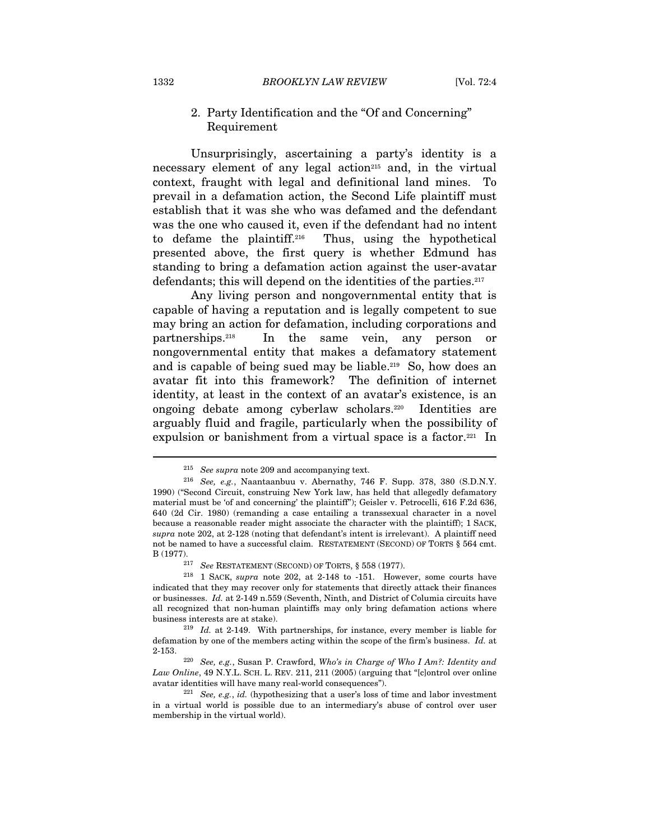#### 2. Party Identification and the "Of and Concerning" Requirement

Unsurprisingly, ascertaining a party's identity is a necessary element of any legal action<sup>215</sup> and, in the virtual context, fraught with legal and definitional land mines. To prevail in a defamation action, the Second Life plaintiff must establish that it was she who was defamed and the defendant was the one who caused it, even if the defendant had no intent to defame the plaintiff.216 Thus, using the hypothetical presented above, the first query is whether Edmund has standing to bring a defamation action against the user-avatar defendants; this will depend on the identities of the parties.<sup>217</sup>

Any living person and nongovernmental entity that is capable of having a reputation and is legally competent to sue may bring an action for defamation, including corporations and partnerships.218 In the same vein, any person or nongovernmental entity that makes a defamatory statement and is capable of being sued may be liable.219 So, how does an avatar fit into this framework? The definition of internet identity, at least in the context of an avatar's existence, is an ongoing debate among cyberlaw scholars.220 Identities are arguably fluid and fragile, particularly when the possibility of expulsion or banishment from a virtual space is a factor.<sup>221</sup> In

<sup>&</sup>lt;sup>215</sup> See supra note 209 and accompanying text.<br><sup>216</sup> See, e.g., Naantaanbuu v. Abernathy, 746 F. Supp. 378, 380 (S.D.N.Y. 1990) ("Second Circuit, construing New York law, has held that allegedly defamatory material must be 'of and concerning' the plaintiff"); Geisler v. Petrocelli, 616 F.2d 636, 640 (2d Cir. 1980) (remanding a case entailing a transsexual character in a novel because a reasonable reader might associate the character with the plaintiff); 1 SACK, supra note 202, at 2-128 (noting that defendant's intent is irrelevant). A plaintiff need not be named to have a successful claim. RESTATEMENT (SECOND) OF TORTS § 564 cmt. B (1977).<br><sup>217</sup> See RESTATEMENT (SECOND) OF TORTS, § 558 (1977).<br><sup>218</sup> 1 SACK, *supra* note 202, at 2-148 to -151. However, some courts have

indicated that they may recover only for statements that directly attack their finances or businesses. Id. at 2-149 n.559 (Seventh, Ninth, and District of Columia circuits have all recognized that non-human plaintiffs may only bring defamation actions where business interests are at stake). 219 Id. at 2-149. With partnerships, for instance, every member is liable for

defamation by one of the members acting within the scope of the firm's business. Id. at 2-153.<br><sup>220</sup> See, e.g., Susan P. Crawford, Who's in Charge of Who I Am?: Identity and

Law Online, 49 N.Y.L. SCH. L. REV. 211, 211 (2005) (arguing that "[c]ontrol over online avatar identities will have many real-world consequences").

 $221$  See, e.g., id. (hypothesizing that a user's loss of time and labor investment in a virtual world is possible due to an intermediary's abuse of control over user membership in the virtual world).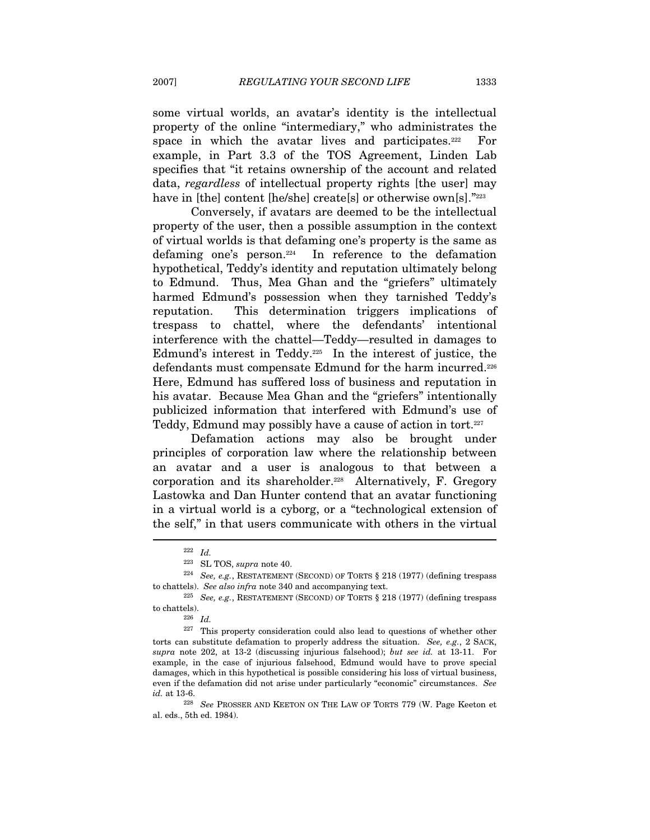some virtual worlds, an avatar's identity is the intellectual property of the online "intermediary," who administrates the space in which the avatar lives and participates. $222$  For example, in Part 3.3 of the TOS Agreement, Linden Lab specifies that "it retains ownership of the account and related data, regardless of intellectual property rights [the user] may have in [the] content [he/she] create[s] or otherwise own[s]."223

Conversely, if avatars are deemed to be the intellectual property of the user, then a possible assumption in the context of virtual worlds is that defaming one's property is the same as defaming one's person.224 In reference to the defamation hypothetical, Teddy's identity and reputation ultimately belong to Edmund. Thus, Mea Ghan and the "griefers" ultimately harmed Edmund's possession when they tarnished Teddy's reputation. This determination triggers implications of trespass to chattel, where the defendants' intentional interference with the chattel—Teddy—resulted in damages to Edmund's interest in Teddy.225 In the interest of justice, the defendants must compensate Edmund for the harm incurred.226 Here, Edmund has suffered loss of business and reputation in his avatar. Because Mea Ghan and the "griefers" intentionally publicized information that interfered with Edmund's use of Teddy, Edmund may possibly have a cause of action in tort.227

Defamation actions may also be brought under principles of corporation law where the relationship between an avatar and a user is analogous to that between a corporation and its shareholder.228 Alternatively, F. Gregory Lastowka and Dan Hunter contend that an avatar functioning in a virtual world is a cyborg, or a "technological extension of the self," in that users communicate with others in the virtual  $\overline{a}$ 

<sup>222</sup> Id.

<sup>&</sup>lt;sup>223</sup> SL TOS, *supra* note 40.  $^{224}$  See, e.g., RESTATEMENT (SECOND) OF TORTS § 218 (1977) (defining trespass to chattels). See also infra note 340 and accompanying text.<br><sup>225</sup> See, e.g., RESTATEMENT (SECOND) OF TORTS § 218 (1977) (defining trespass

to chattels).<br> $rac{226}{Id}$ .

<sup>&</sup>lt;sup>227</sup> This property consideration could also lead to questions of whether other torts can substitute defamation to properly address the situation. See, e.g., 2 SACK, supra note 202, at 13-2 (discussing injurious falsehood); but see id. at 13-11. For example, in the case of injurious falsehood, Edmund would have to prove special damages, which in this hypothetical is possible considering his loss of virtual business, even if the defamation did not arise under particularly "economic" circumstances. See  $id.$  at 13-6.  $$^{228}$\,See$  PROSSER AND KEETON ON THE LAW OF TORTS 779 (W. Page Keeton et

al. eds., 5th ed. 1984).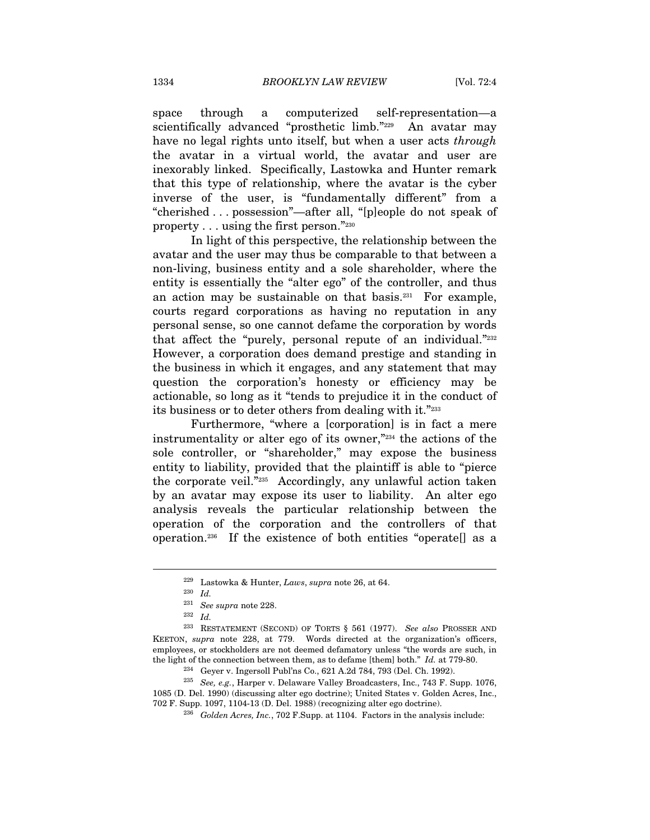space through a computerized self-representation—a scientifically advanced "prosthetic limb."<sup>229</sup> An avatar may have no legal rights unto itself, but when a user acts *through* the avatar in a virtual world, the avatar and user are inexorably linked. Specifically, Lastowka and Hunter remark that this type of relationship, where the avatar is the cyber inverse of the user, is "fundamentally different" from a "cherished . . . possession"—after all, "[p]eople do not speak of property . . . using the first person."230

In light of this perspective, the relationship between the avatar and the user may thus be comparable to that between a non-living, business entity and a sole shareholder, where the entity is essentially the "alter ego" of the controller, and thus an action may be sustainable on that basis. $231$  For example, courts regard corporations as having no reputation in any personal sense, so one cannot defame the corporation by words that affect the "purely, personal repute of an individual."<sup>2232</sup> However, a corporation does demand prestige and standing in the business in which it engages, and any statement that may question the corporation's honesty or efficiency may be actionable, so long as it "tends to prejudice it in the conduct of its business or to deter others from dealing with it."233

Furthermore, "where a [corporation] is in fact a mere instrumentality or alter ego of its owner,"234 the actions of the sole controller, or "shareholder," may expose the business entity to liability, provided that the plaintiff is able to "pierce the corporate veil."235 Accordingly, any unlawful action taken by an avatar may expose its user to liability. An alter ego analysis reveals the particular relationship between the operation of the corporation and the controllers of that operation.236 If the existence of both entities "operate[] as a

 $^{229}$ Lastowka & Hunter, Laws, supra note 26, at 64.

<sup>230</sup> Id.

<sup>&</sup>lt;sup>231</sup> See supra note 228.<br><sup>232</sup> Id.

 $^{233}$  RESTATEMENT (SECOND) OF TORTS  $\S$  561 (1977). See also PROSSER AND KEETON, supra note 228, at 779. Words directed at the organization's officers, employees, or stockholders are not deemed defamatory unless "the words are such, in the light of the connection between them, as to defame [them] both."  $Id$ . at 779-80.<br><sup>234</sup> Geyer v. Ingersoll Publ'ns Co., 621 A.2d 784, 793 (Del. Ch. 1992).<br><sup>235</sup> *See, e.g.*, Harper v. Delaware Valley Broadcasters, Inc.

<sup>1085 (</sup>D. Del. 1990) (discussing alter ego doctrine); United States v. Golden Acres, Inc., 702 F. Supp. 1097, 1104-13 (D. Del. 1988) (recognizing alter ego doctrine). 236 Golden Acres, Inc., 702 F.Supp. at 1104. Factors in the analysis include: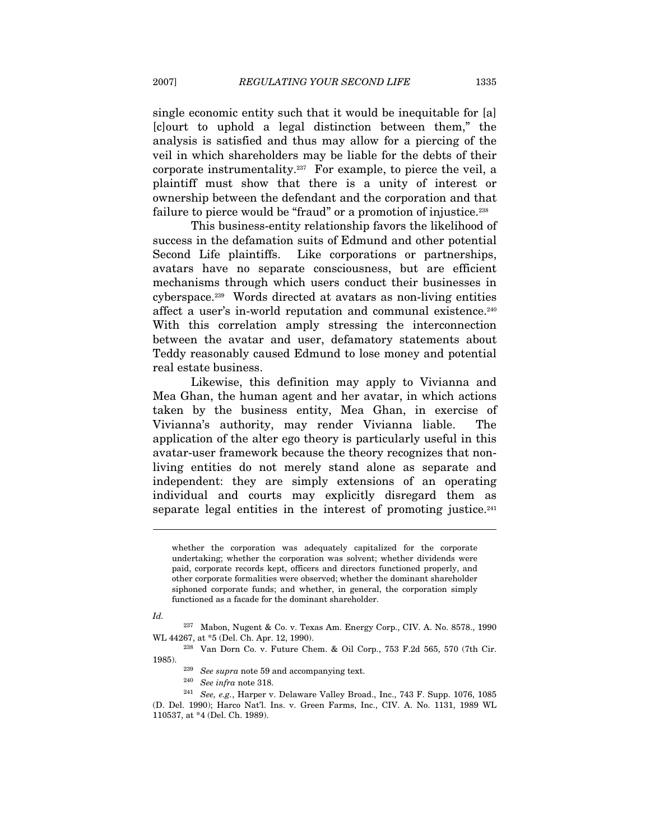single economic entity such that it would be inequitable for [a] [c]ourt to uphold a legal distinction between them," the analysis is satisfied and thus may allow for a piercing of the veil in which shareholders may be liable for the debts of their corporate instrumentality.237 For example, to pierce the veil, a plaintiff must show that there is a unity of interest or ownership between the defendant and the corporation and that failure to pierce would be "fraud" or a promotion of injustice.<sup>238</sup>

This business-entity relationship favors the likelihood of success in the defamation suits of Edmund and other potential Second Life plaintiffs. Like corporations or partnerships, avatars have no separate consciousness, but are efficient mechanisms through which users conduct their businesses in cyberspace.239 Words directed at avatars as non-living entities affect a user's in-world reputation and communal existence.240 With this correlation amply stressing the interconnection between the avatar and user, defamatory statements about Teddy reasonably caused Edmund to lose money and potential real estate business.

Likewise, this definition may apply to Vivianna and Mea Ghan, the human agent and her avatar, in which actions taken by the business entity, Mea Ghan, in exercise of Vivianna's authority, may render Vivianna liable. The application of the alter ego theory is particularly useful in this avatar-user framework because the theory recognizes that nonliving entities do not merely stand alone as separate and independent: they are simply extensions of an operating individual and courts may explicitly disregard them as separate legal entities in the interest of promoting justice. $241$ 

Id.

whether the corporation was adequately capitalized for the corporate undertaking; whether the corporation was solvent; whether dividends were paid, corporate records kept, officers and directors functioned properly, and other corporate formalities were observed; whether the dominant shareholder siphoned corporate funds; and whether, in general, the corporation simply functioned as a facade for the dominant shareholder.

<sup>237</sup> Mabon, Nugent & Co. v. Texas Am. Energy Corp., CIV. A. No. 8578., 1990

WL 44267, at \*5 (Del. Ch. Apr. 12, 1990).<br><sup>238</sup> Van Dorn Co. v. Future Chem. & Oil Corp., 753 F.2d 565, 570 (7th Cir. 1985).

<sup>&</sup>lt;sup>239</sup> See supra note 59 and accompanying text.<br><sup>240</sup> See infra note 318.<br><sup>241</sup> See, e.g., Harper v. Delaware Valley Broad., Inc., 743 F. Supp. 1076, 1085 (D. Del. 1990); Harco Nat'l. Ins. v. Green Farms, Inc., CIV. A. No. 1131, 1989 WL 110537, at \*4 (Del. Ch. 1989).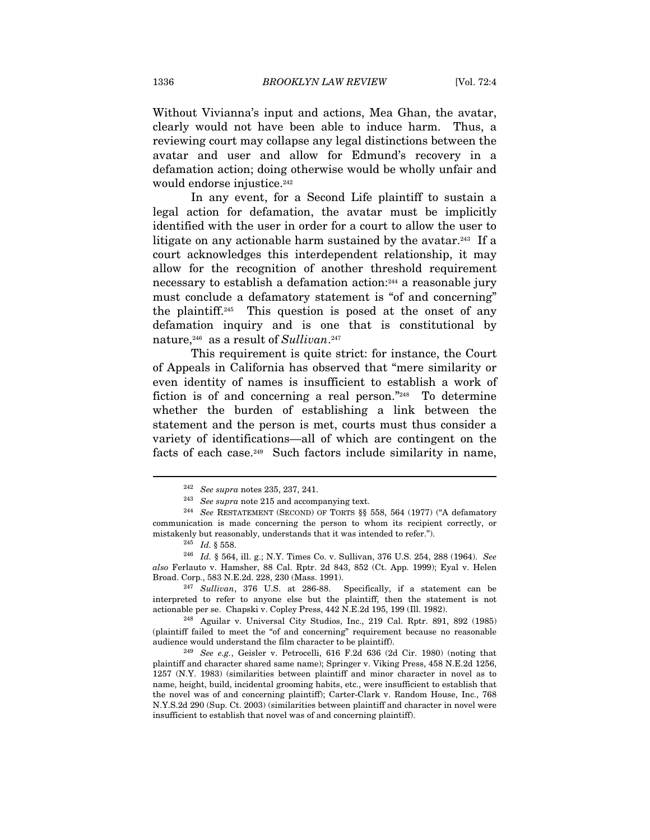Without Vivianna's input and actions, Mea Ghan, the avatar, clearly would not have been able to induce harm. Thus, a reviewing court may collapse any legal distinctions between the avatar and user and allow for Edmund's recovery in a defamation action; doing otherwise would be wholly unfair and would endorse injustice.<sup>242</sup>

In any event, for a Second Life plaintiff to sustain a legal action for defamation, the avatar must be implicitly identified with the user in order for a court to allow the user to litigate on any actionable harm sustained by the avatar.<sup>243</sup> If a court acknowledges this interdependent relationship, it may allow for the recognition of another threshold requirement necessary to establish a defamation action:244 a reasonable jury must conclude a defamatory statement is "of and concerning" the plaintiff.245 This question is posed at the onset of any defamation inquiry and is one that is constitutional by nature,<sup>246</sup> as a result of Sullivan.<sup>247</sup>

This requirement is quite strict: for instance, the Court of Appeals in California has observed that "mere similarity or even identity of names is insufficient to establish a work of fiction is of and concerning a real person."248 To determine whether the burden of establishing a link between the statement and the person is met, courts must thus consider a variety of identifications—all of which are contingent on the facts of each case.249 Such factors include similarity in name,

 $\overline{a}$ 

 $247$  Sullivan, 376 U.S. at 286-88. Specifically, if a statement can be interpreted to refer to anyone else but the plaintiff, then the statement is not

actionable per se. Chapski v. Copley Press, 442 N.E.2d 195, 199 (Ill. 1982). 248 Aguilar v. Universal City Studios, Inc., 219 Cal. Rptr. 891, 892 (1985) (plaintiff failed to meet the "of and concerning" requirement because no reasonable audience would understand the film character to be plaintiff).

<sup>242</sup> See supra notes 235, 237, 241.

<sup>&</sup>lt;sup>243</sup> See supra note 215 and accompanying text.<br><sup>244</sup> See RESTATEMENT (SECOND) OF TORTS §§ 558, 564 (1977) ("A defamatory communication is made concerning the person to whom its recipient correctly, or mistakenly but reasonably, understands that it was intended to refer.").<br><sup>245</sup> Id. § 558. <sup>246</sup> Id. § 564, ill. g.; N.Y. Times Co. v. Sullivan, 376 U.S. 254, 288 (1964). *See* 

 $also$  Ferlauto v. Hamsher, 88 Cal. Rptr. 2d 843, 852 (Ct. App. 1999); Eyal v. Helen Broad. Corp., 583 N.E.2d. 228, 230 (Mass. 1991).

<sup>249</sup> See e.g., Geisler v. Petrocelli, 616 F.2d 636 (2d Cir. 1980) (noting that plaintiff and character shared same name); Springer v. Viking Press, 458 N.E.2d 1256, 1257 (N.Y. 1983) (similarities between plaintiff and minor character in novel as to name, height, build, incidental grooming habits, etc., were insufficient to establish that the novel was of and concerning plaintiff); Carter-Clark v. Random House, Inc., 768 N.Y.S.2d 290 (Sup. Ct. 2003) (similarities between plaintiff and character in novel were insufficient to establish that novel was of and concerning plaintiff).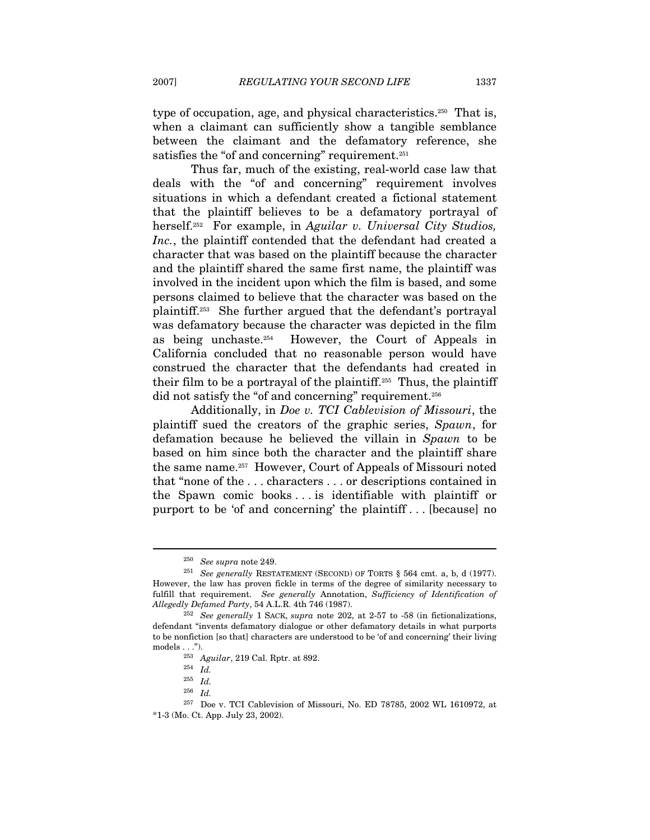type of occupation, age, and physical characteristics.<sup>250</sup> That is, when a claimant can sufficiently show a tangible semblance between the claimant and the defamatory reference, she satisfies the "of and concerning" requirement.<sup>251</sup>

Thus far, much of the existing, real-world case law that deals with the "of and concerning" requirement involves situations in which a defendant created a fictional statement that the plaintiff believes to be a defamatory portrayal of herself.<sup>252</sup> For example, in Aguilar v. Universal City Studios, Inc., the plaintiff contended that the defendant had created a character that was based on the plaintiff because the character and the plaintiff shared the same first name, the plaintiff was involved in the incident upon which the film is based, and some persons claimed to believe that the character was based on the plaintiff.253 She further argued that the defendant's portrayal was defamatory because the character was depicted in the film as being unchaste.254 However, the Court of Appeals in California concluded that no reasonable person would have construed the character that the defendants had created in their film to be a portrayal of the plaintiff.<sup>255</sup> Thus, the plaintiff did not satisfy the "of and concerning" requirement.<sup>256</sup>

Additionally, in Doe v. TCI Cablevision of Missouri, the plaintiff sued the creators of the graphic series, Spawn, for defamation because he believed the villain in Spawn to be based on him since both the character and the plaintiff share the same name.257 However, Court of Appeals of Missouri noted that "none of the . . . characters . . . or descriptions contained in the Spawn comic books . . . is identifiable with plaintiff or purport to be 'of and concerning' the plaintiff . . . [because] no

<sup>&</sup>lt;sup>250</sup> See supra note 249.<br><sup>251</sup> See generally RESTATEMENT (SECOND) OF TORTS § 564 cmt. a, b, d (1977). However, the law has proven fickle in terms of the degree of similarity necessary to fulfill that requirement. See generally Annotation, Sufficiency of Identification of Allegedly Defamed Party, 54 A.L.R. 4th 746 (1987).<br><sup>252</sup> See generally 1 SACK, supra note 202, at 2-57 to -58 (in fictionalizations,

defendant "invents defamatory dialogue or other defamatory details in what purports to be nonfiction [so that] characters are understood to be 'of and concerning' their living models . . .").<br> $^{253}$  Aguilar, 219 Cal. Rptr. at 892.<br> $^{254}$  Id.

 $^{255}\,$   $Id.$ 

<sup>256</sup> Id.

 $^{257}\,$  Doe v. TCI Cablevision of Missouri, No. ED 78785, 2002 WL 1610972, at \*1-3 (Mo. Ct. App. July 23, 2002).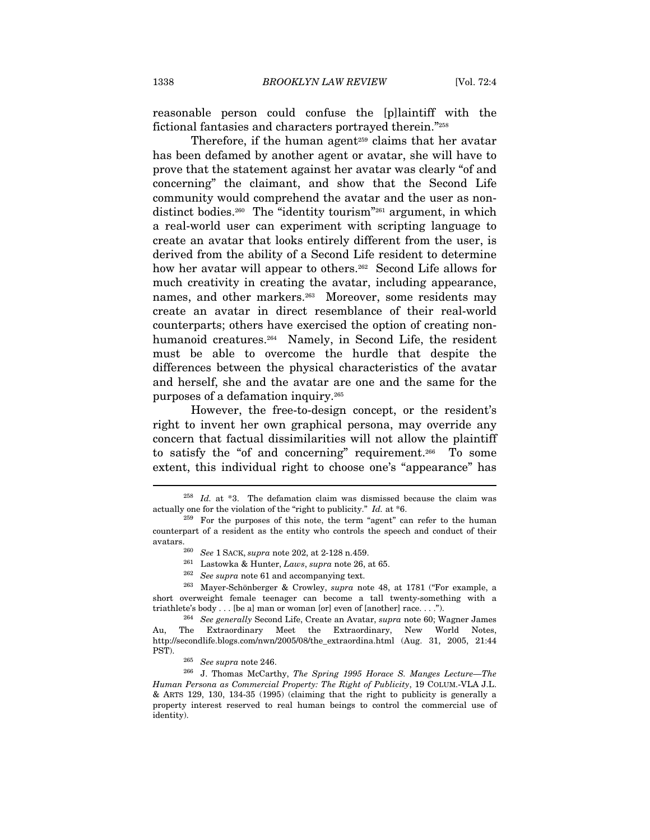reasonable person could confuse the [p]laintiff with the fictional fantasies and characters portrayed therein."258

Therefore, if the human agent<sup>259</sup> claims that her avatar has been defamed by another agent or avatar, she will have to prove that the statement against her avatar was clearly "of and concerning" the claimant, and show that the Second Life community would comprehend the avatar and the user as nondistinct bodies.<sup>260</sup> The "identity tourism"<sup>261</sup> argument, in which a real-world user can experiment with scripting language to create an avatar that looks entirely different from the user, is derived from the ability of a Second Life resident to determine how her avatar will appear to others.<sup>262</sup> Second Life allows for much creativity in creating the avatar, including appearance, names, and other markers.<sup>263</sup> Moreover, some residents may create an avatar in direct resemblance of their real-world counterparts; others have exercised the option of creating nonhumanoid creatures.<sup>264</sup> Namely, in Second Life, the resident must be able to overcome the hurdle that despite the differences between the physical characteristics of the avatar and herself, she and the avatar are one and the same for the purposes of a defamation inquiry.265

However, the free-to-design concept, or the resident's right to invent her own graphical persona, may override any concern that factual dissimilarities will not allow the plaintiff to satisfy the "of and concerning" requirement.266 To some extent, this individual right to choose one's "appearance" has

- 
- 

short overweight female teenager can become a tall twenty-something with a triathlete's body . . . [be a] man or woman [or] even of [another] race. . . .").<br><sup>264</sup> See generally Second Life, Create an Avatar, *supra* note 60; Wagner James

Au, The Extraordinary Meet the Extraordinary, New World Notes, http://secondlife.blogs.com/nwn/2005/08/the\_extraordina.html (Aug. 31, 2005, 21:44

PST). 265 See supra note 246. 266 J. Thomas McCarthy, The Spring 1995 Horace S. Manges Lecture—The Human Persona as Commercial Property: The Right of Publicity, 19 COLUM.-VLA J.L. & ARTS 129, 130, 134-35 (1995) (claiming that the right to publicity is generally a property interest reserved to real human beings to control the commercial use of identity).

 $258$  *Id.* at  $*3$ . The defamation claim was dismissed because the claim was actually one for the violation of the "right to publicity." Id. at \*6.

<sup>&</sup>lt;sup>259</sup> For the purposes of this note, the term "agent" can refer to the human counterpart of a resident as the entity who controls the speech and conduct of their avatars.  $^{260}$  See 1 SACK, supra note 202, at 2-128 n.459.<br>  $^{261}$  Lastowka & Hunter, Laws, supra note 26, at 65.<br>  $^{262}$  See supra note 61 and accompanying text.<br>  $^{263}$  Mayer-Schönberger & Crowley, supra note 48, a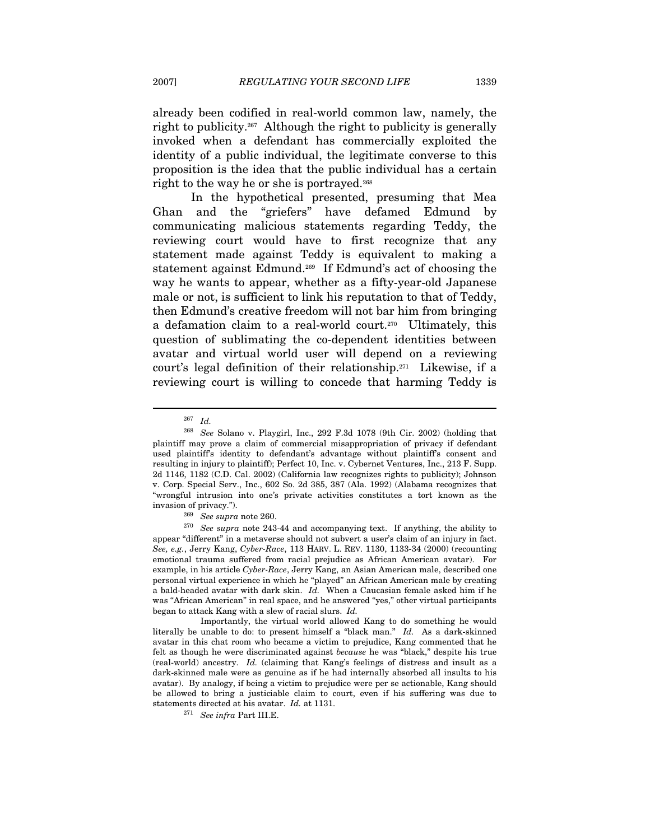already been codified in real-world common law, namely, the right to publicity.267 Although the right to publicity is generally invoked when a defendant has commercially exploited the identity of a public individual, the legitimate converse to this proposition is the idea that the public individual has a certain right to the way he or she is portrayed.<sup>268</sup>

In the hypothetical presented, presuming that Mea Ghan and the "griefers" have defamed Edmund by communicating malicious statements regarding Teddy, the reviewing court would have to first recognize that any statement made against Teddy is equivalent to making a statement against Edmund.269 If Edmund's act of choosing the way he wants to appear, whether as a fifty-year-old Japanese male or not, is sufficient to link his reputation to that of Teddy, then Edmund's creative freedom will not bar him from bringing a defamation claim to a real-world court.270 Ultimately, this question of sublimating the co-dependent identities between avatar and virtual world user will depend on a reviewing court's legal definition of their relationship.271 Likewise, if a reviewing court is willing to concede that harming Teddy is

<sup>267</sup> Id.

<sup>268</sup> See Solano v. Playgirl, Inc., 292 F.3d 1078 (9th Cir. 2002) (holding that plaintiff may prove a claim of commercial misappropriation of privacy if defendant used plaintiff's identity to defendant's advantage without plaintiff's consent and resulting in injury to plaintiff); Perfect 10, Inc. v. Cybernet Ventures, Inc., 213 F. Supp. 2d 1146, 1182 (C.D. Cal. 2002) (California law recognizes rights to publicity); Johnson v. Corp. Special Serv., Inc., 602 So. 2d 385, 387 (Ala. 1992) (Alabama recognizes that "wrongful intrusion into one's private activities constitutes a tort known as the

invasion of privacy."). <sup>269</sup> See supra note 260. <sup>270</sup> See supra note 243-44 and accompanying text. If anything, the ability to appear "different" in a metaverse should not subvert a user's claim of an injury in fact. See, e.g., Jerry Kang, Cyber-Race, 113 HARV. L. REV. 1130, 1133-34 (2000) (recounting emotional trauma suffered from racial prejudice as African American avatar). For example, in his article Cyber-Race, Jerry Kang, an Asian American male, described one personal virtual experience in which he "played" an African American male by creating a bald-headed avatar with dark skin. Id. When a Caucasian female asked him if he was "African American" in real space, and he answered "yes," other virtual participants began to attack Kang with a slew of racial slurs. Id.

Importantly, the virtual world allowed Kang to do something he would literally be unable to do: to present himself a "black man." Id. As a dark-skinned avatar in this chat room who became a victim to prejudice, Kang commented that he felt as though he were discriminated against because he was "black," despite his true (real-world) ancestry. Id. (claiming that Kang's feelings of distress and insult as a dark-skinned male were as genuine as if he had internally absorbed all insults to his avatar). By analogy, if being a victim to prejudice were per se actionable, Kang should be allowed to bring a justiciable claim to court, even if his suffering was due to statements directed at his avatar. Id. at 1131.<br> $^{271}$  See infra Part III.E.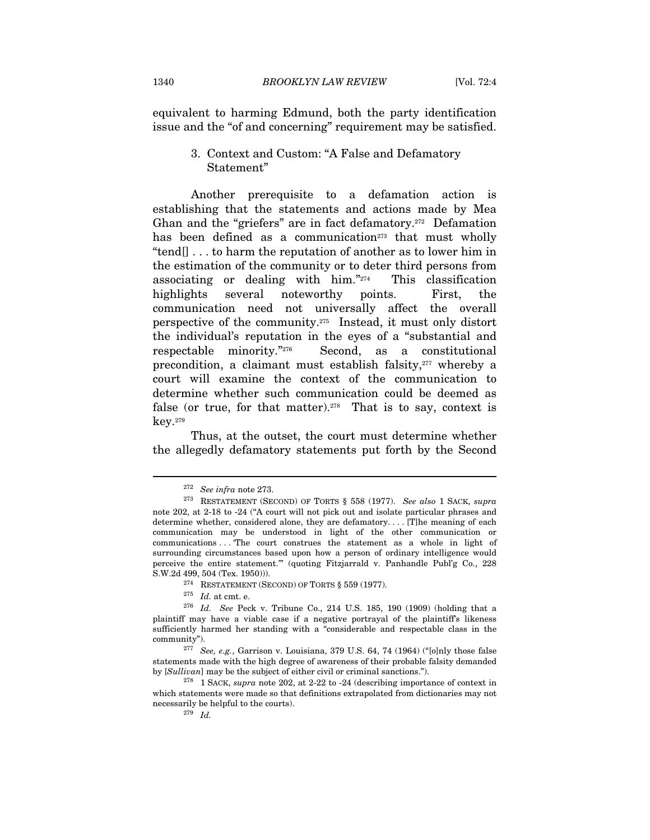equivalent to harming Edmund, both the party identification issue and the "of and concerning" requirement may be satisfied.

## 3. Context and Custom: "A False and Defamatory Statement"

Another prerequisite to a defamation action is establishing that the statements and actions made by Mea Ghan and the "griefers" are in fact defamatory.272 Defamation has been defined as a communication<sup> $273$ </sup> that must wholly "tend[] . . . to harm the reputation of another as to lower him in the estimation of the community or to deter third persons from associating or dealing with him. $\frac{274}{4}$  This classification highlights several noteworthy points. First, the communication need not universally affect the overall perspective of the community.275 Instead, it must only distort the individual's reputation in the eyes of a "substantial and respectable minority."276 Second, as a constitutional precondition, a claimant must establish falsity,<sup>277</sup> whereby a court will examine the context of the communication to determine whether such communication could be deemed as false (or true, for that matter).<sup>278</sup> That is to say, context is key.279

Thus, at the outset, the court must determine whether the allegedly defamatory statements put forth by the Second

 $^{272}\,$  See infra note 273.

<sup>273</sup> RESTATEMENT (SECOND) OF TORTS § 558 (1977). See also 1 SACK, supra note 202, at 2-18 to -24 ("A court will not pick out and isolate particular phrases and determine whether, considered alone, they are defamatory. . . . [T]he meaning of each communication may be understood in light of the other communication or communications . . . 'The court construes the statement as a whole in light of surrounding circumstances based upon how a person of ordinary intelligence would perceive the entire statement.'" (quoting Fitzjarrald v. Panhandle Publ'g Co., 228 S.W.2d 499, 504 (Tex. 1950))).<br><sup>274</sup> RESTATEMENT (SECOND) OF TORTS § 559 (1977).<br><sup>275</sup> Id. at cmt. e.<br><sup>276</sup> Id. See Peck v. Tribune Co., 214 U.S. 185, 190 (1909) (holding that a

plaintiff may have a viable case if a negative portrayal of the plaintiff's likeness sufficiently harmed her standing with a "considerable and respectable class in the community").<br><sup>277</sup> See, e.g., Garrison v. Louisiana, 379 U.S. 64, 74 (1964) ("[o]nly those false

statements made with the high degree of awareness of their probable falsity demanded by  $[Sullivan]$  may be the subject of either civil or criminal sanctions.").<br><sup>278</sup> 1 SACK, supra note 202, at 2-22 to -24 (describing importance of context in

which statements were made so that definitions extrapolated from dictionaries may not necessarily be helpful to the courts).<br> $^{279}$  Id.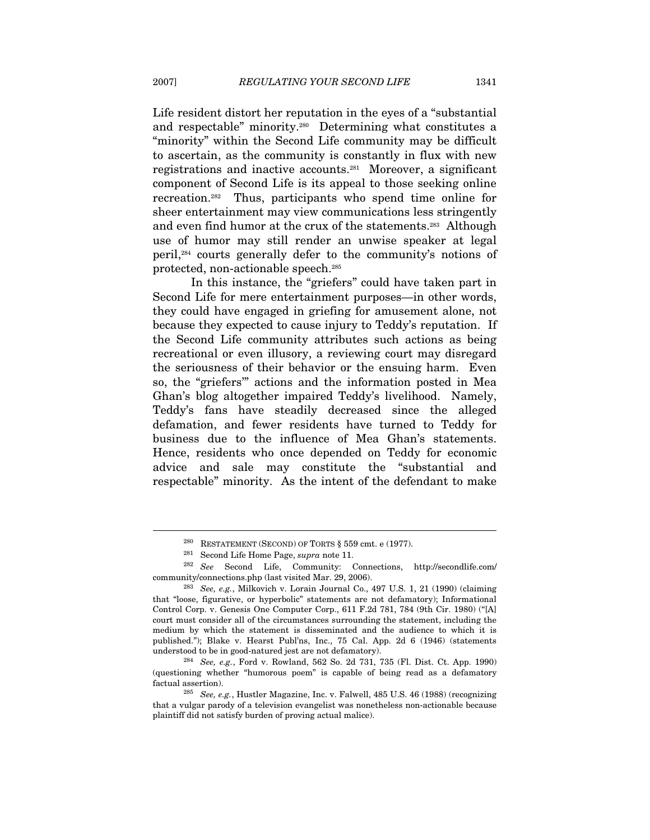Life resident distort her reputation in the eyes of a "substantial and respectable" minority.280 Determining what constitutes a "minority" within the Second Life community may be difficult to ascertain, as the community is constantly in flux with new registrations and inactive accounts.281 Moreover, a significant component of Second Life is its appeal to those seeking online recreation.282 Thus, participants who spend time online for sheer entertainment may view communications less stringently and even find humor at the crux of the statements.<sup>283</sup> Although use of humor may still render an unwise speaker at legal peril,284 courts generally defer to the community's notions of protected, non-actionable speech.285

In this instance, the "griefers" could have taken part in Second Life for mere entertainment purposes—in other words, they could have engaged in griefing for amusement alone, not because they expected to cause injury to Teddy's reputation. If the Second Life community attributes such actions as being recreational or even illusory, a reviewing court may disregard the seriousness of their behavior or the ensuing harm. Even so, the "griefers'" actions and the information posted in Mea Ghan's blog altogether impaired Teddy's livelihood. Namely, Teddy's fans have steadily decreased since the alleged defamation, and fewer residents have turned to Teddy for business due to the influence of Mea Ghan's statements. Hence, residents who once depended on Teddy for economic advice and sale may constitute the "substantial and respectable" minority. As the intent of the defendant to make

<sup>&</sup>lt;sup>280</sup> RESTATEMENT (SECOND) OF TORTS § 559 cmt. e (1977).<br><sup>281</sup> Second Life Home Page, *supra* note 11.<br><sup>282</sup> See Second Life, Community: Connections, http://secondlife.com/ community/connections.php (last visited Mar. 29, 2006).<br><sup>283</sup> See, e.g., Milkovich v. Lorain Journal Co., 497 U.S. 1, 21 (1990) (claiming

that "loose, figurative, or hyperbolic" statements are not defamatory); Informational Control Corp. v. Genesis One Computer Corp., 611 F.2d 781, 784 (9th Cir. 1980) ("[A] court must consider all of the circumstances surrounding the statement, including the medium by which the statement is disseminated and the audience to which it is published."); Blake v. Hearst Publ'ns, Inc., 75 Cal. App. 2d 6 (1946) (statements understood to be in good-natured jest are not defamatory).<br><sup>284</sup> See, e.g., Ford v. Rowland, 562 So. 2d 731, 735 (Fl. Dist. Ct. App. 1990)

<sup>(</sup>questioning whether "humorous poem" is capable of being read as a defamatory factual assertion).<br><sup>285</sup> See, e.g., Hustler Magazine, Inc. v. Falwell, 485 U.S. 46 (1988) (recognizing

that a vulgar parody of a television evangelist was nonetheless non-actionable because plaintiff did not satisfy burden of proving actual malice).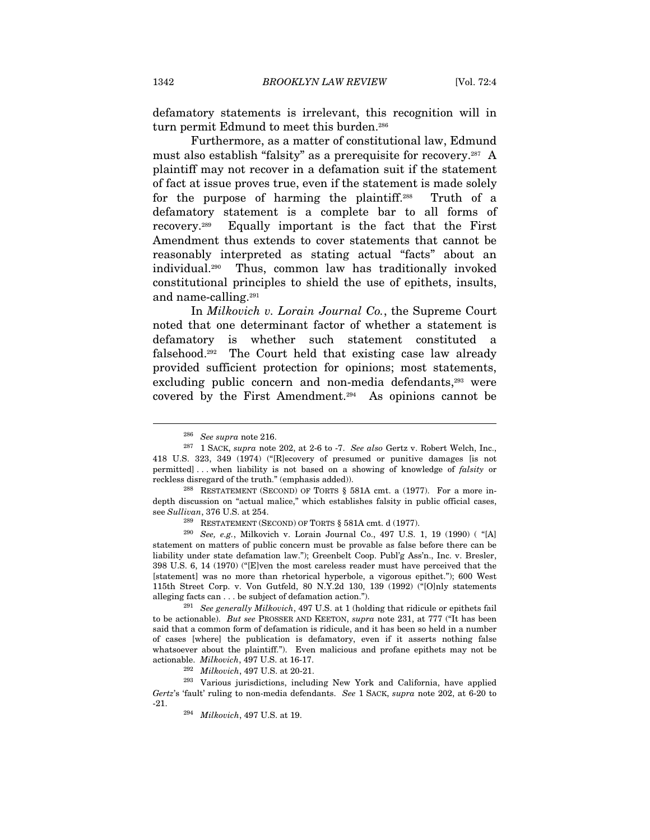defamatory statements is irrelevant, this recognition will in turn permit Edmund to meet this burden.<sup>286</sup>

Furthermore, as a matter of constitutional law, Edmund must also establish "falsity" as a prerequisite for recovery.<sup>287</sup> A plaintiff may not recover in a defamation suit if the statement of fact at issue proves true, even if the statement is made solely for the purpose of harming the plaintiff.288 Truth of a defamatory statement is a complete bar to all forms of recovery.289 Equally important is the fact that the First Amendment thus extends to cover statements that cannot be reasonably interpreted as stating actual "facts" about an individual.290 Thus, common law has traditionally invoked constitutional principles to shield the use of epithets, insults, and name-calling.291

In Milkovich v. Lorain Journal Co., the Supreme Court noted that one determinant factor of whether a statement is defamatory is whether such statement constituted a falsehood.292 The Court held that existing case law already provided sufficient protection for opinions; most statements, excluding public concern and non-media defendants,<sup>293</sup> were covered by the First Amendment.294 As opinions cannot be

to be actionable). But see PROSSER AND KEETON, supra note 231, at 777 ("It has been said that a common form of defamation is ridicule, and it has been so held in a number of cases [where] the publication is defamatory, even if it asserts nothing false whatsoever about the plaintiff."). Even malicious and profane epithets may not be

actionable. Milkovich, 497 U.S. at 16-17.<br><sup>292</sup> Milkovich, 497 U.S. at 20-21.<br><sup>293</sup> Various jurisdictions, including New York and California, have applied Gertz's 'fault' ruling to non-media defendants. See 1 SACK, supra note 202, at 6-20 to

-21.  $294$  *Milkovich*, 497 U.S. at 19.

<sup>&</sup>lt;sup>286</sup> See supra note 216.<br><sup>287</sup> 1 SACK, supra note 202, at 2-6 to -7. See also Gertz v. Robert Welch, Inc., 418 U.S. 323, 349 (1974) ("[R]ecovery of presumed or punitive damages [is not permitted] . . . when liability is not based on a showing of knowledge of falsity or reckless disregard of the truth." (emphasis added)).<br><sup>288</sup> RESTATEMENT (SECOND) OF TORTS § 581A cmt. a (1977). For a more in-

depth discussion on "actual malice," which establishes falsity in public official cases, see Sullivan, 376 U.S. at 254.<br><sup>289</sup> RESTATEMENT (SECOND) OF TORTS § 581A cmt. d (1977).<br><sup>290</sup> See, e.g., Milkovich v. Lorain Journal Co., 497 U.S. 1, 19 (1990) ( "[A]

statement on matters of public concern must be provable as false before there can be liability under state defamation law."); Greenbelt Coop. Publ'g Ass'n., Inc. v. Bresler, 398 U.S. 6, 14 (1970) ("[E]ven the most careless reader must have perceived that the [statement] was no more than rhetorical hyperbole, a vigorous epithet."); 600 West 115th Street Corp. v. Von Gutfeld, 80 N.Y.2d 130, 139 (1992) ("[O]nly statements alleging facts can . . . be subject of defamation action.").<br><sup>291</sup> See generally Milkovich, 497 U.S. at 1 (holding that ridicule or epithets fail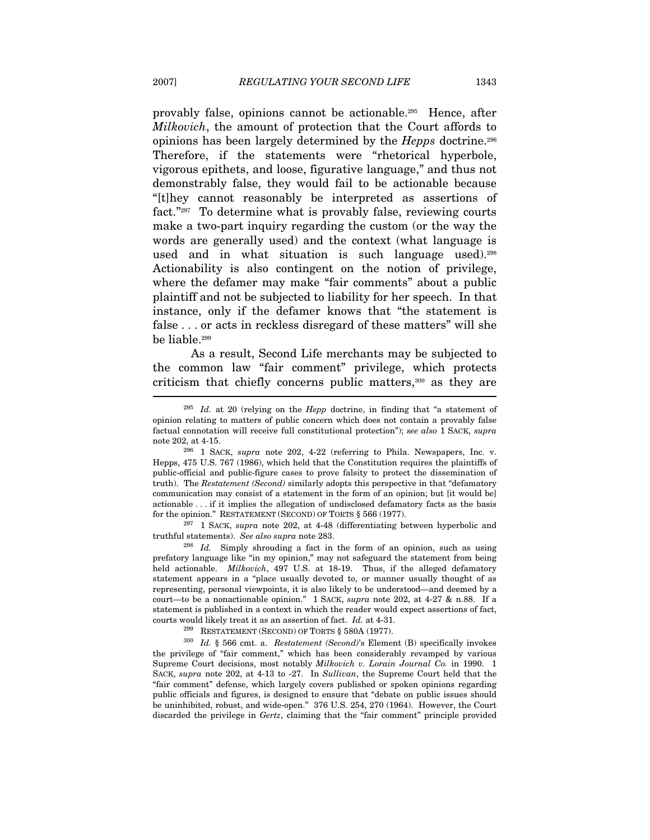provably false, opinions cannot be actionable.295 Hence, after Milkovich, the amount of protection that the Court affords to opinions has been largely determined by the Hepps doctrine.296 Therefore, if the statements were "rhetorical hyperbole, vigorous epithets, and loose, figurative language," and thus not demonstrably false, they would fail to be actionable because "[t]hey cannot reasonably be interpreted as assertions of fact."297 To determine what is provably false, reviewing courts make a two-part inquiry regarding the custom (or the way the words are generally used) and the context (what language is used and in what situation is such language used).298 Actionability is also contingent on the notion of privilege, where the defamer may make "fair comments" about a public plaintiff and not be subjected to liability for her speech. In that instance, only if the defamer knows that "the statement is false . . . or acts in reckless disregard of these matters" will she be liable.299

As a result, Second Life merchants may be subjected to the common law "fair comment" privilege, which protects criticism that chiefly concerns public matters,300 as they are

 $\frac{297}{1}$  1 SACK, supra note 202, at 4-48 (differentiating between hyperbolic and truthful statements). See also supra note 283.<br><sup>298</sup> Id. Simply shrouding a fact in the form of an opinion, such as using

prefatory language like "in my opinion," may not safeguard the statement from being held actionable. *Milkovich*, 497 U.S. at 18-19. Thus, if the alleged defamatory statement appears in a "place usually devoted to, or manner usually thought of as representing, personal viewpoints, it is also likely to be understood—and deemed by a court—to be a nonactionable opinion." 1 SACK, supra note 202, at 4-27 & n.88. If a statement is published in a context in which the reader would expect assertions of fact,

courts would likely treat it as an assertion of fact. Id. at 4-31.<br><sup>299</sup> RESTATEMENT (SECOND) OF TORTS § 580A (1977).<br><sup>300</sup> Id. § 566 cmt. a. *Restatement (Second)*'s Element (B) specifically invokes the privilege of "fair comment," which has been considerably revamped by various Supreme Court decisions, most notably Milkovich v. Lorain Journal Co. in 1990. 1 SACK, supra note 202, at 4-13 to -27. In Sullivan, the Supreme Court held that the "fair comment" defense, which largely covers published or spoken opinions regarding public officials and figures, is designed to ensure that "debate on public issues should be uninhibited, robust, and wide-open." 376 U.S. 254, 270 (1964). However, the Court discarded the privilege in Gertz, claiming that the "fair comment" principle provided

 $295$  Id. at 20 (relying on the Hepp doctrine, in finding that "a statement of opinion relating to matters of public concern which does not contain a provably false factual connotation will receive full constitutional protection"); see also 1 SACK, supra note 202, at 4-15.<br><sup>296</sup> 1 SACK, *supra* note 202, 4-22 (referring to Phila. Newspapers, Inc. v.

Hepps, 475 U.S. 767 (1986), which held that the Constitution requires the plaintiffs of public-official and public-figure cases to prove falsity to protect the dissemination of truth). The Restatement (Second) similarly adopts this perspective in that "defamatory communication may consist of a statement in the form of an opinion; but [it would be] actionable . . . if it implies the allegation of undisclosed defamatory facts as the basis for the opinion." RESTATEMENT (SECOND) OF TORTS  $\S$  566 (1977).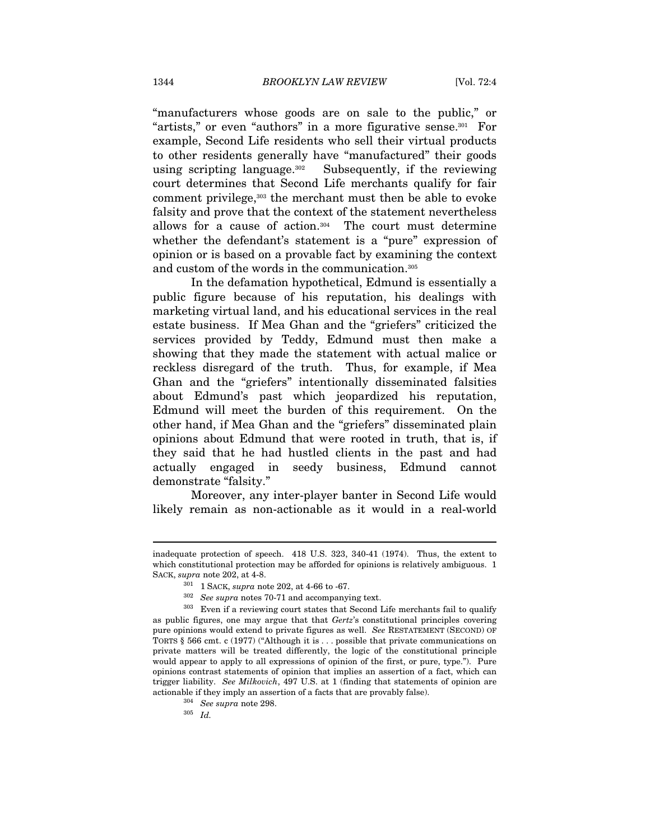"manufacturers whose goods are on sale to the public," or "artists," or even "authors" in a more figurative sense.301 For example, Second Life residents who sell their virtual products to other residents generally have "manufactured" their goods using scripting language.<sup>302</sup> Subsequently, if the reviewing court determines that Second Life merchants qualify for fair comment privilege,303 the merchant must then be able to evoke falsity and prove that the context of the statement nevertheless allows for a cause of action.304 The court must determine whether the defendant's statement is a "pure" expression of opinion or is based on a provable fact by examining the context and custom of the words in the communication.305

In the defamation hypothetical, Edmund is essentially a public figure because of his reputation, his dealings with marketing virtual land, and his educational services in the real estate business. If Mea Ghan and the "griefers" criticized the services provided by Teddy, Edmund must then make a showing that they made the statement with actual malice or reckless disregard of the truth. Thus, for example, if Mea Ghan and the "griefers" intentionally disseminated falsities about Edmund's past which jeopardized his reputation, Edmund will meet the burden of this requirement. On the other hand, if Mea Ghan and the "griefers" disseminated plain opinions about Edmund that were rooted in truth, that is, if they said that he had hustled clients in the past and had actually engaged in seedy business, Edmund cannot demonstrate "falsity."

Moreover, any inter-player banter in Second Life would likely remain as non-actionable as it would in a real-world

inadequate protection of speech. 418 U.S. 323, 340-41 (1974). Thus, the extent to which constitutional protection may be afforded for opinions is relatively ambiguous. 1 SACK, supra note 202, at 4-8.  $\frac{301}{10}$  SACK, supra note 202, at 4-66 to -67.<br> $\frac{302}{100}$  See supra notes 70-71 and accompanying text.

 $303$  Even if a reviewing court states that Second Life merchants fail to qualify as public figures, one may argue that that Gertz's constitutional principles covering pure opinions would extend to private figures as well. See RESTATEMENT (SECOND) OF TORTS § 566 cmt. c (1977) ("Although it is . . . possible that private communications on private matters will be treated differently, the logic of the constitutional principle would appear to apply to all expressions of opinion of the first, or pure, type."). Pure opinions contrast statements of opinion that implies an assertion of a fact, which can trigger liability. See Milkovich, 497 U.S. at 1 (finding that statements of opinion are actionable if they imply an assertion of a facts that are provably false). 304 See supra note 298.  $Id$ .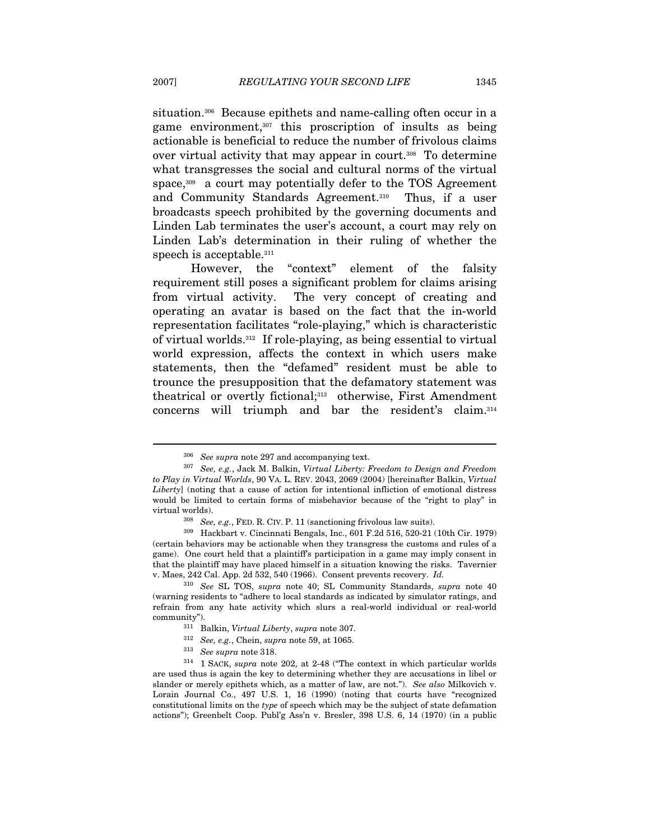situation.306 Because epithets and name-calling often occur in a game environment,307 this proscription of insults as being actionable is beneficial to reduce the number of frivolous claims over virtual activity that may appear in court.308 To determine what transgresses the social and cultural norms of the virtual space,<sup>309</sup> a court may potentially defer to the TOS Agreement and Community Standards Agreement.<sup>310</sup> Thus, if a user broadcasts speech prohibited by the governing documents and Linden Lab terminates the user's account, a court may rely on Linden Lab's determination in their ruling of whether the speech is acceptable.<sup>311</sup>

However, the "context" element of the falsity requirement still poses a significant problem for claims arising from virtual activity. The very concept of creating and operating an avatar is based on the fact that the in-world representation facilitates "role-playing," which is characteristic of virtual worlds.312 If role-playing, as being essential to virtual world expression, affects the context in which users make statements, then the "defamed" resident must be able to trounce the presupposition that the defamatory statement was theatrical or overtly fictional;<sup>313</sup> otherwise, First Amendment concerns will triumph and bar the resident's claim.314

 $^{306}\,$  See supra note 297 and accompanying text.  $^{307}\,$  See, e.g., Jack M. Balkin, Virtual Liberty: Freedom to Design and Freedom to Play in Virtual Worlds, 90 VA. L. REV. 2043, 2069 (2004) [hereinafter Balkin, Virtual Liberty] (noting that a cause of action for intentional infliction of emotional distress would be limited to certain forms of misbehavior because of the "right to play" in virtual worlds). 308 See, e.g., FED. R. CIV. P. 11 (sanctioning frivolous law suits). 309 Hackbart v. Cincinnati Bengals, Inc., 601 F.2d 516, 520-21 (10th Cir. 1979)

<sup>(</sup>certain behaviors may be actionable when they transgress the customs and rules of a game). One court held that a plaintiff's participation in a game may imply consent in that the plaintiff may have placed himself in a situation knowing the risks. Tavernier v. Maes, 242 Cal. App. 2d 532, 540 (1966). Consent prevents recovery. Id.

<sup>310</sup> See SL TOS, supra note 40; SL Community Standards, supra note 40 (warning residents to "adhere to local standards as indicated by simulator ratings, and refrain from any hate activity which slurs a real-world individual or real-world

<sup>%</sup>community").<br>
<sup>311</sup> Balkin, *Virtual Liberty*, *supra* note 307.<br>
<sup>312</sup> See, e.g., Chein, *supra* note 59, at 1065.<br>
<sup>313</sup> See *supra* note 318.<br>
<sup>314</sup> 1 SACK, *supra* note 202, at 2-48 ("The context in which particular are used thus is again the key to determining whether they are accusations in libel or slander or merely epithets which, as a matter of law, are not."). See also Milkovich v. Lorain Journal Co., 497 U.S. 1, 16 (1990) (noting that courts have "recognized constitutional limits on the type of speech which may be the subject of state defamation actions"); Greenbelt Coop. Publ'g Ass'n v. Bresler, 398 U.S. 6, 14 (1970) (in a public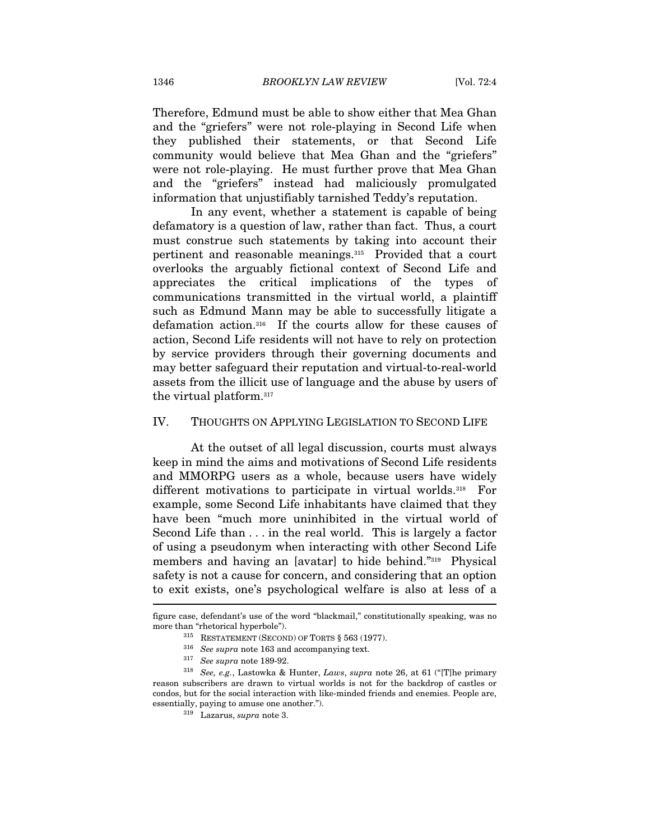Therefore, Edmund must be able to show either that Mea Ghan and the "griefers" were not role-playing in Second Life when they published their statements, or that Second Life community would believe that Mea Ghan and the "griefers" were not role-playing. He must further prove that Mea Ghan and the "griefers" instead had maliciously promulgated information that unjustifiably tarnished Teddy's reputation.

In any event, whether a statement is capable of being defamatory is a question of law, rather than fact. Thus, a court must construe such statements by taking into account their pertinent and reasonable meanings.315 Provided that a court overlooks the arguably fictional context of Second Life and appreciates the critical implications of the types of communications transmitted in the virtual world, a plaintiff such as Edmund Mann may be able to successfully litigate a defamation action.316 If the courts allow for these causes of action, Second Life residents will not have to rely on protection by service providers through their governing documents and may better safeguard their reputation and virtual-to-real-world assets from the illicit use of language and the abuse by users of the virtual platform.317

#### IV. THOUGHTS ON APPLYING LEGISLATION TO SECOND LIFE

At the outset of all legal discussion, courts must always keep in mind the aims and motivations of Second Life residents and MMORPG users as a whole, because users have widely different motivations to participate in virtual worlds.<sup>318</sup> For example, some Second Life inhabitants have claimed that they have been "much more uninhibited in the virtual world of Second Life than . . . in the real world. This is largely a factor of using a pseudonym when interacting with other Second Life members and having an [avatar] to hide behind."319 Physical safety is not a cause for concern, and considering that an option to exit exists, one's psychological welfare is also at less of a  $\overline{\phantom{a}}$ 

figure case, defendant's use of the word "blackmail," constitutionally speaking, was no more than "rhetorical hyperbole").<br>
<sup>315</sup> RESTATEMENT (SECOND) OF TORTS § 563 (1977).<br>
<sup>316</sup> *See supra* note 163 and accompanying text.<br>
<sup>317</sup> *See supra* note 189-92.<br>
<sup>318</sup> *See, e.g.*, Lastowka & Hunter, *Laws, supra* 

reason subscribers are drawn to virtual worlds is not for the backdrop of castles or condos, but for the social interaction with like-minded friends and enemies. People are, essentially, paying to amuse one another."). 319 Lazarus, supra note 3.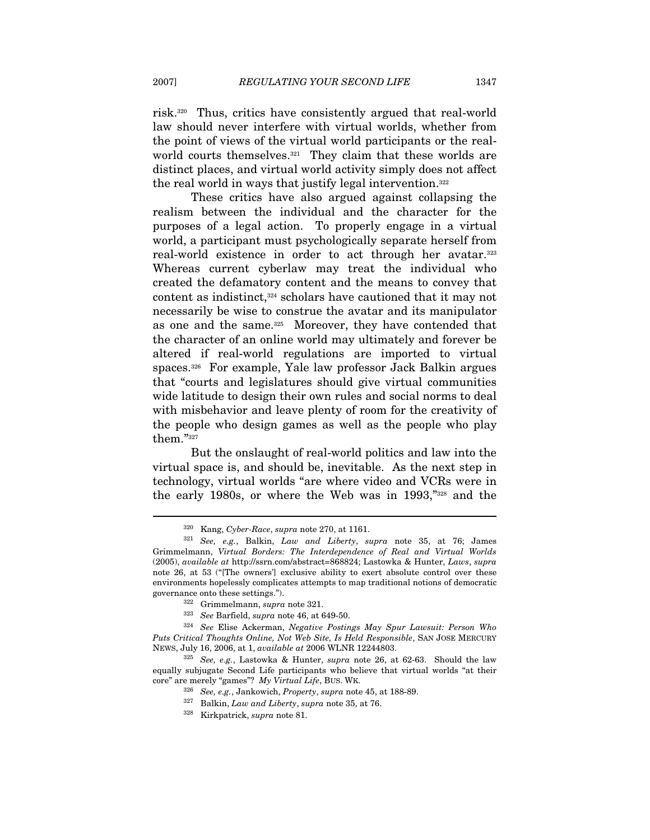risk.320 Thus, critics have consistently argued that real-world law should never interfere with virtual worlds, whether from the point of views of the virtual world participants or the realworld courts themselves.<sup>321</sup> They claim that these worlds are distinct places, and virtual world activity simply does not affect the real world in ways that justify legal intervention.322

These critics have also argued against collapsing the realism between the individual and the character for the purposes of a legal action. To properly engage in a virtual world, a participant must psychologically separate herself from real-world existence in order to act through her avatar.323 Whereas current cyberlaw may treat the individual who created the defamatory content and the means to convey that content as indistinct,<sup>324</sup> scholars have cautioned that it may not necessarily be wise to construe the avatar and its manipulator as one and the same.325 Moreover, they have contended that the character of an online world may ultimately and forever be altered if real-world regulations are imported to virtual spaces.326 For example, Yale law professor Jack Balkin argues that "courts and legislatures should give virtual communities wide latitude to design their own rules and social norms to deal with misbehavior and leave plenty of room for the creativity of the people who design games as well as the people who play them."327

But the onslaught of real-world politics and law into the virtual space is, and should be, inevitable. As the next step in technology, virtual worlds "are where video and VCRs were in the early 1980s, or where the Web was in 1993,"328 and the

 $320$  Kang, Cyber-Race, supra note 270, at 1161.<br> $321$  See, e.g., Balkin, Law and Liberty, supra note 35, at 76; James Grimmelmann, Virtual Borders: The Interdependence of Real and Virtual Worlds (2005), available at http://ssrn.com/abstract=868824; Lastowka & Hunter, Laws, supra note 26, at 53 ("[The owners'] exclusive ability to exert absolute control over these environments hopelessly complicates attempts to map traditional notions of democratic governance onto these settings.").<br><sup>322</sup> Grimmelmann, su*pra* note 321.<br><sup>323</sup> See Barfield, supra note 46, at 649-50.<br><sup>324</sup> See Elise Ackerman, *Negative Postings May Spur Lawsuit: Person Who* 

Puts Critical Thoughts Online, Not Web Site, Is Held Responsible, SAN JOSE MERCURY

NEWS, July 16, 2006, at 1, available at 2006 WLNR 12244803. 325 See, e.g., Lastowka & Hunter, supra note 26, at 62-63. Should the law equally subjugate Second Life participants who believe that virtual worlds "at their % core" are merely "games"? My Virtual Life, BUS. WK.<br> $$^{326}$  See, e.g., Jankowich, Property, supra note 45, at 188-89.<br> $$^{327}$  Balkin, Law and Liberty, supra note 35, at 76.<br> $$^{328}$  Kirkpatrick, supra note 81.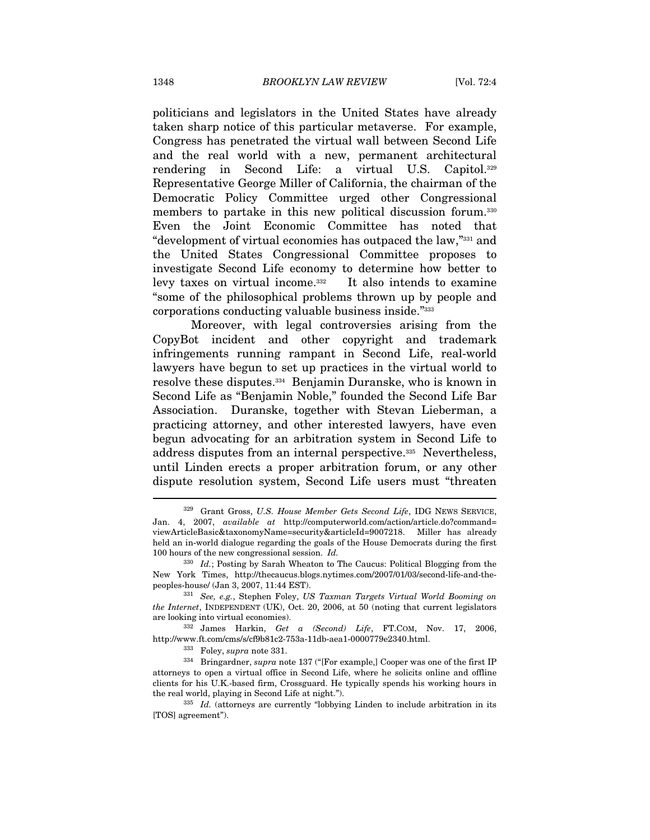politicians and legislators in the United States have already taken sharp notice of this particular metaverse. For example, Congress has penetrated the virtual wall between Second Life and the real world with a new, permanent architectural rendering in Second Life: a virtual U.S. Capitol.329 Representative George Miller of California, the chairman of the Democratic Policy Committee urged other Congressional members to partake in this new political discussion forum.<sup>330</sup> Even the Joint Economic Committee has noted that "development of virtual economies has outpaced the law,"331 and the United States Congressional Committee proposes to investigate Second Life economy to determine how better to levy taxes on virtual income.<sup>332</sup> It also intends to examine "some of the philosophical problems thrown up by people and corporations conducting valuable business inside."333

Moreover, with legal controversies arising from the CopyBot incident and other copyright and trademark infringements running rampant in Second Life, real-world lawyers have begun to set up practices in the virtual world to resolve these disputes.334 Benjamin Duranske, who is known in Second Life as "Benjamin Noble," founded the Second Life Bar Association. Duranske, together with Stevan Lieberman, a practicing attorney, and other interested lawyers, have even begun advocating for an arbitration system in Second Life to address disputes from an internal perspective.335 Nevertheless, until Linden erects a proper arbitration forum, or any other dispute resolution system, Second Life users must "threaten

<sup>&</sup>lt;sup>329</sup> Grant Gross, U.S. House Member Gets Second Life, IDG NEWS SERVICE, Jan. 4, 2007, available at http://computerworld.com/action/article.do?command= viewArticleBasic&taxonomyName=security&articleId=9007218. Miller has already held an in-world dialogue regarding the goals of the House Democrats during the first 100 hours of the new congressional session. Id.

 $330$  Id.; Posting by Sarah Wheaton to The Caucus: Political Blogging from the New York Times, http://thecaucus.blogs.nytimes.com/2007/01/03/second-life-and-thepeoples-house/ (Jan 3, 2007, 11:44 EST).<br><sup>331</sup> See, e.g., Stephen Foley, US Taxman Targets Virtual World Booming on

the Internet, INDEPENDENT (UK), Oct. 20, 2006, at 50 (noting that current legislators

are looking into virtual economies).<br><sup>332</sup> James Harkin, Get a (Second) Life, FT.COM, Nov. 17, 2006, http://www.ft.com/cms/s/cf9b81c2-753a-11db-aea1-0000779e2340.html.<br><sup>333</sup> Foley, *supra* note 331.<br><sup>334</sup> Bringardner, *supra* note 137 ("[For example,] Cooper was one of the first IP

attorneys to open a virtual office in Second Life, where he solicits online and offline clients for his U.K.-based firm, Crossguard. He typically spends his working hours in the real world, playing in Second Life at night.").<br> $335$  Id. (attorneys are currently "lobbying Linden to include arbitration in its

<sup>[</sup>TOS] agreement").